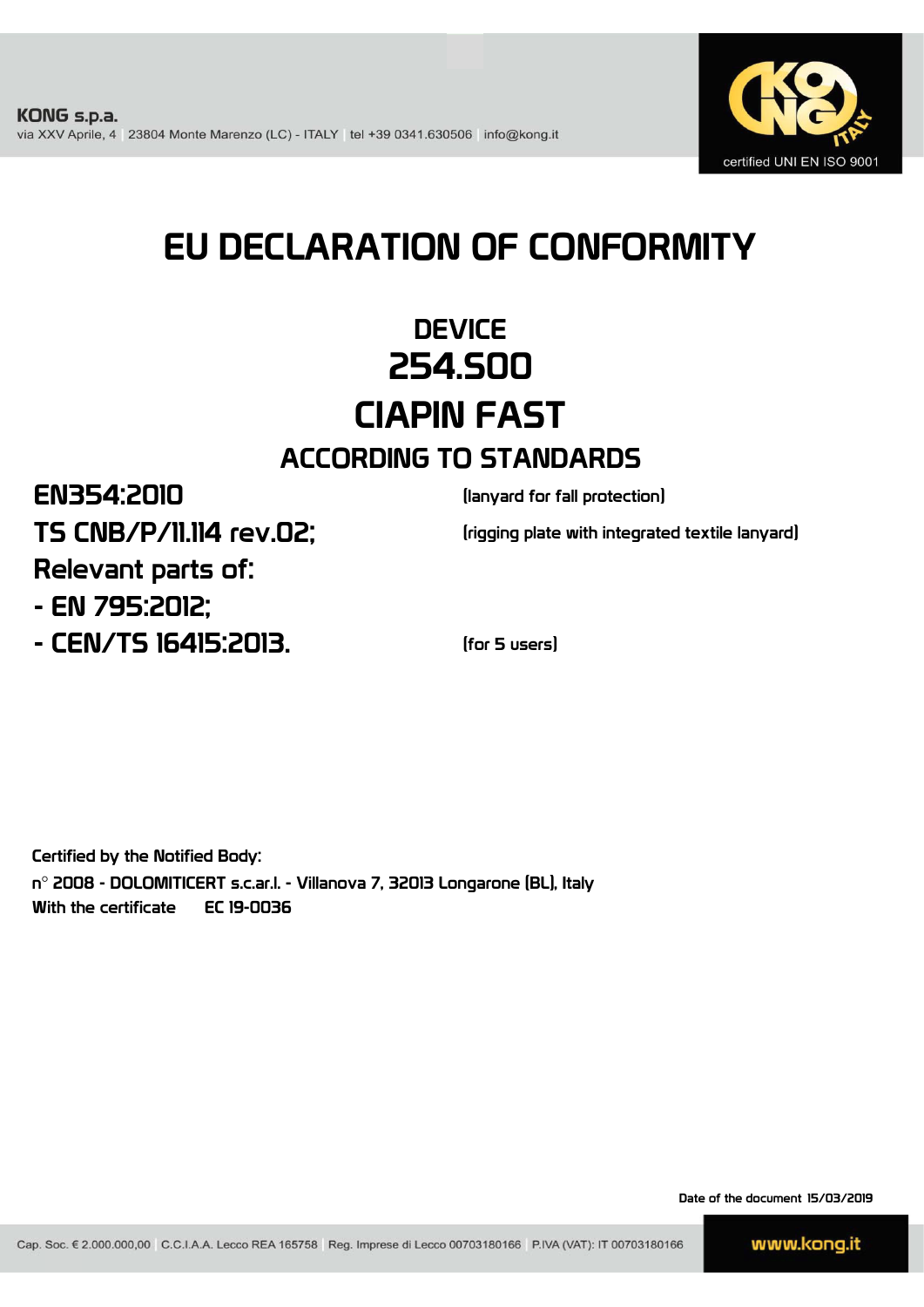

# EU DECLARATION OF CONFORMITY

### **DEVICE** 254.S00 CIAPIN FAST ACCORDING TO STANDARDS

### EN354:2010

TS CNB/P/11.114 rev.02;

(lanyard for fall protection)

(rigging plate with integrated textile lanyard)

- EN 795:2012; Relevant parts of:

- CEN/TS 16415:2013. (for 5 users)

Certified by the Notified Body: n° 2008 - DOLOMITICERT s.c.ar.l. - Villanova 7, 32013 Longarone (BL), Italy With the certificate EC 19-0036

Date of the document 15/03/2019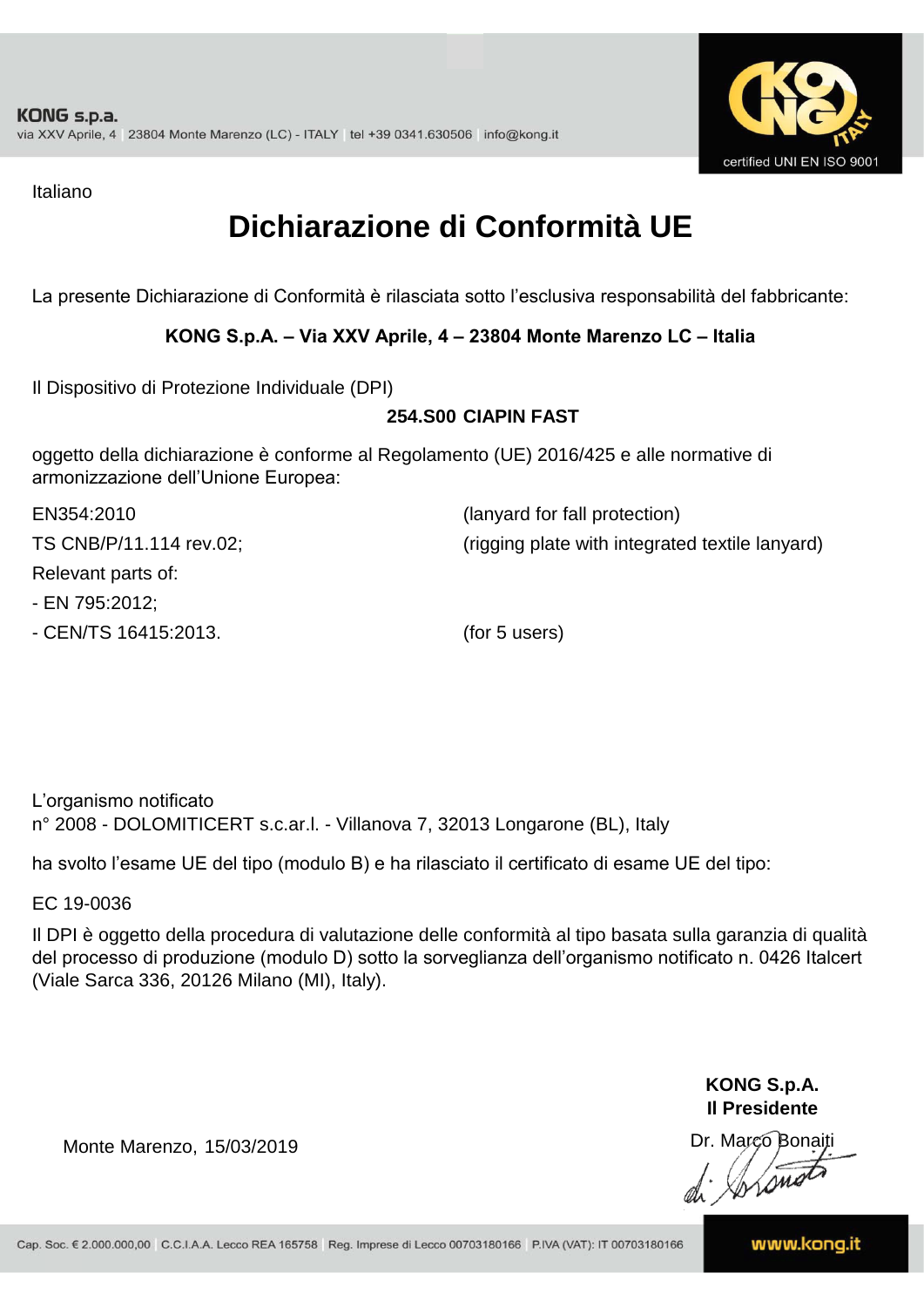

Italiano

### **Dichiarazione di Conformità UE**

La presente Dichiarazione di Conformità è rilasciata sotto l'esclusiva responsabilità del fabbricante:

#### **KONG S.p.A. – Via XXV Aprile, 4 – 23804 Monte Marenzo LC – Italia**

Il Dispositivo di Protezione Individuale (DPI)

#### **254.S00 CIAPIN FAST**

oggetto della dichiarazione è conforme al Regolamento (UE) 2016/425 e alle normative di armonizzazione dell'Unione Europea:

| EN354:2010              | (lanyard for fall protection)                   |
|-------------------------|-------------------------------------------------|
| TS CNB/P/11.114 rev.02; | (rigging plate with integrated textile lanyard) |
| Relevant parts of:      |                                                 |
| - EN 795:2012;          |                                                 |
| - CEN/TS 16415:2013.    | (for 5 users)                                   |

L'organismo notificato n° 2008 - DOLOMITICERT s.c.ar.l. - Villanova 7, 32013 Longarone (BL), Italy

ha svolto l'esame UE del tipo (modulo B) e ha rilasciato il certificato di esame UE del tipo:

EC 19-0036

Il DPI è oggetto della procedura di valutazione delle conformità al tipo basata sulla garanzia di qualità del processo di produzione (modulo D) sotto la sorveglianza dell'organismo notificato n. 0426 Italcert (Viale Sarca 336, 20126 Milano (MI), Italy).

> **KONG S.p.A. Il Presidente**

Monte Marenzo, 15/03/2019<br>
Monte Marenzo, 15/03/2019<br>
A Marco Bonaiti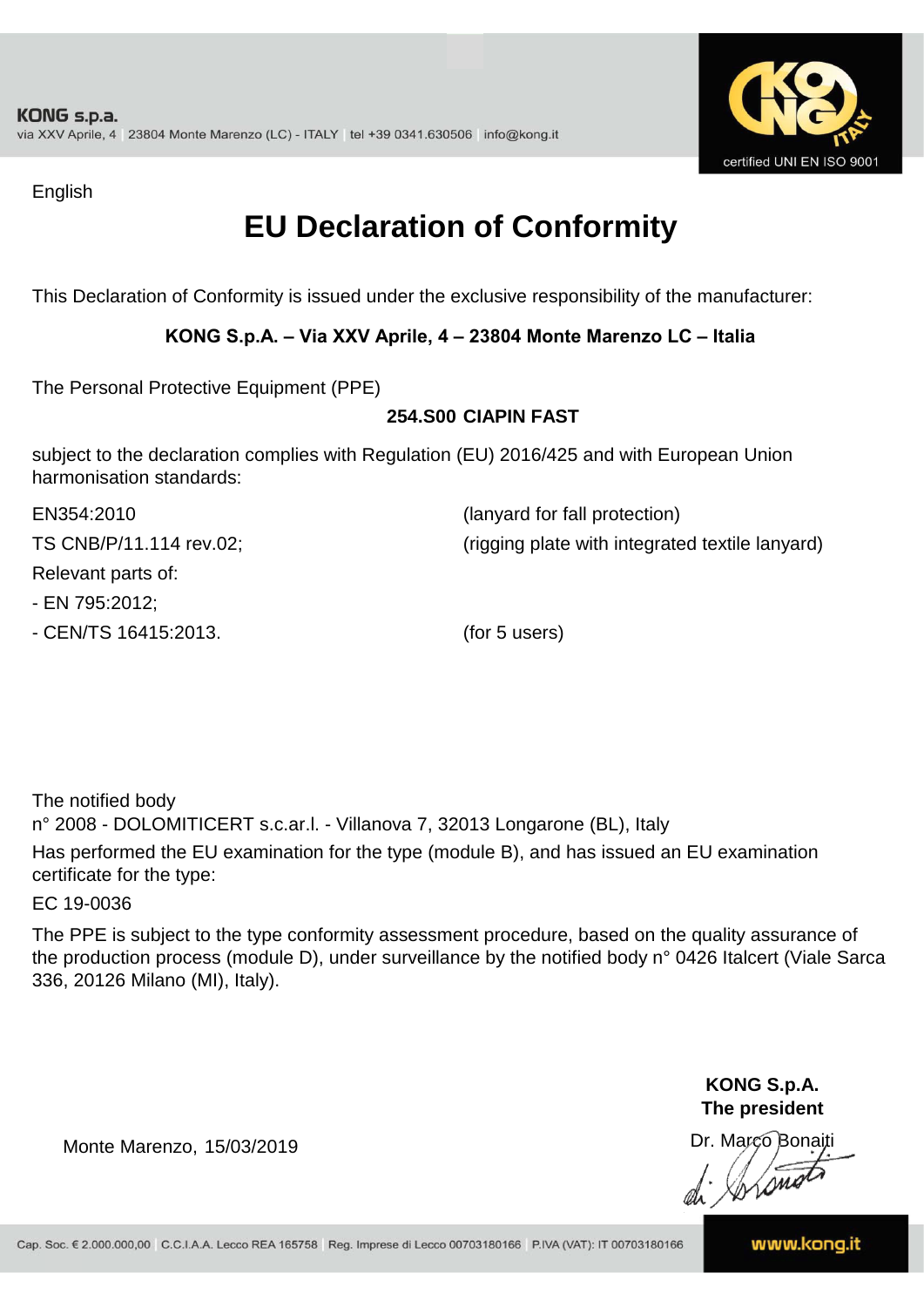

English

### **EU Declaration of Conformity**

This Declaration of Conformity is issued under the exclusive responsibility of the manufacturer:

#### **KONG S.p.A. – Via XXV Aprile, 4 – 23804 Monte Marenzo LC – Italia**

The Personal Protective Equipment (PPE)

#### **254.S00 CIAPIN FAST**

subject to the declaration complies with Regulation (EU) 2016/425 and with European Union harmonisation standards:

| EN354:2010              | (lanyard for fall protection)                   |
|-------------------------|-------------------------------------------------|
| TS CNB/P/11.114 rev.02; | (rigging plate with integrated textile lanyard) |
| Relevant parts of:      |                                                 |
| - EN 795:2012;          |                                                 |
| - CEN/TS 16415:2013.    | (for 5 users)                                   |

The notified body n° 2008 - DOLOMITICERT s.c.ar.l. - Villanova 7, 32013 Longarone (BL), Italy Has performed the EU examination for the type (module B), and has issued an EU examination certificate for the type:

EC 19-0036

The PPE is subject to the type conformity assessment procedure, based on the quality assurance of the production process (module D), under surveillance by the notified body n° 0426 Italcert (Viale Sarca 336, 20126 Milano (MI), Italy).

> **KONG S.p.A. The president**

Dr. Marco Bonaiti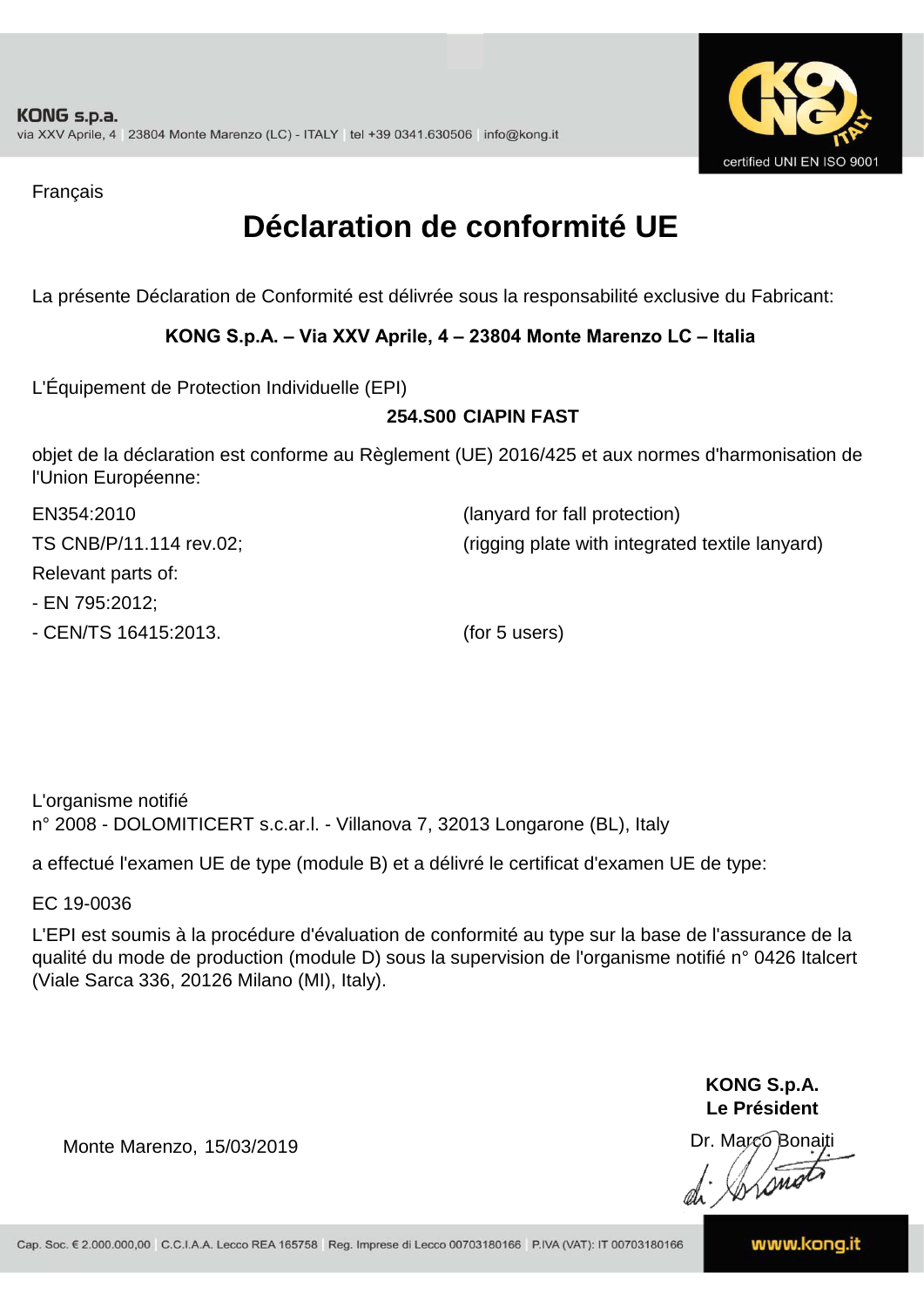

Français

### **Déclaration de conformité UE**

La présente Déclaration de Conformité est délivrée sous la responsabilité exclusive du Fabricant:

#### **KONG S.p.A. – Via XXV Aprile, 4 – 23804 Monte Marenzo LC – Italia**

L'Équipement de Protection Individuelle (EPI)

#### **254.S00 CIAPIN FAST**

objet de la déclaration est conforme au Règlement (UE) 2016/425 et aux normes d'harmonisation de l'Union Européenne:

| EN354:2010              | (lanyard for fall protection)                   |
|-------------------------|-------------------------------------------------|
| TS CNB/P/11.114 rev.02; | (rigging plate with integrated textile lanyard) |
| Relevant parts of:      |                                                 |
| - EN 795:2012;          |                                                 |
| - CEN/TS 16415:2013.    | (for 5 users)                                   |

L'organisme notifié n° 2008 - DOLOMITICERT s.c.ar.l. - Villanova 7, 32013 Longarone (BL), Italy

a effectué l'examen UE de type (module B) et a délivré le certificat d'examen UE de type:

EC 19-0036

L'EPI est soumis à la procédure d'évaluation de conformité au type sur la base de l'assurance de la qualité du mode de production (module D) sous la supervision de l'organisme notifié n° 0426 Italcert (Viale Sarca 336, 20126 Milano (MI), Italy).

> **KONG S.p.A. Le Président**

Dr. Marco Bonaiti di Aromor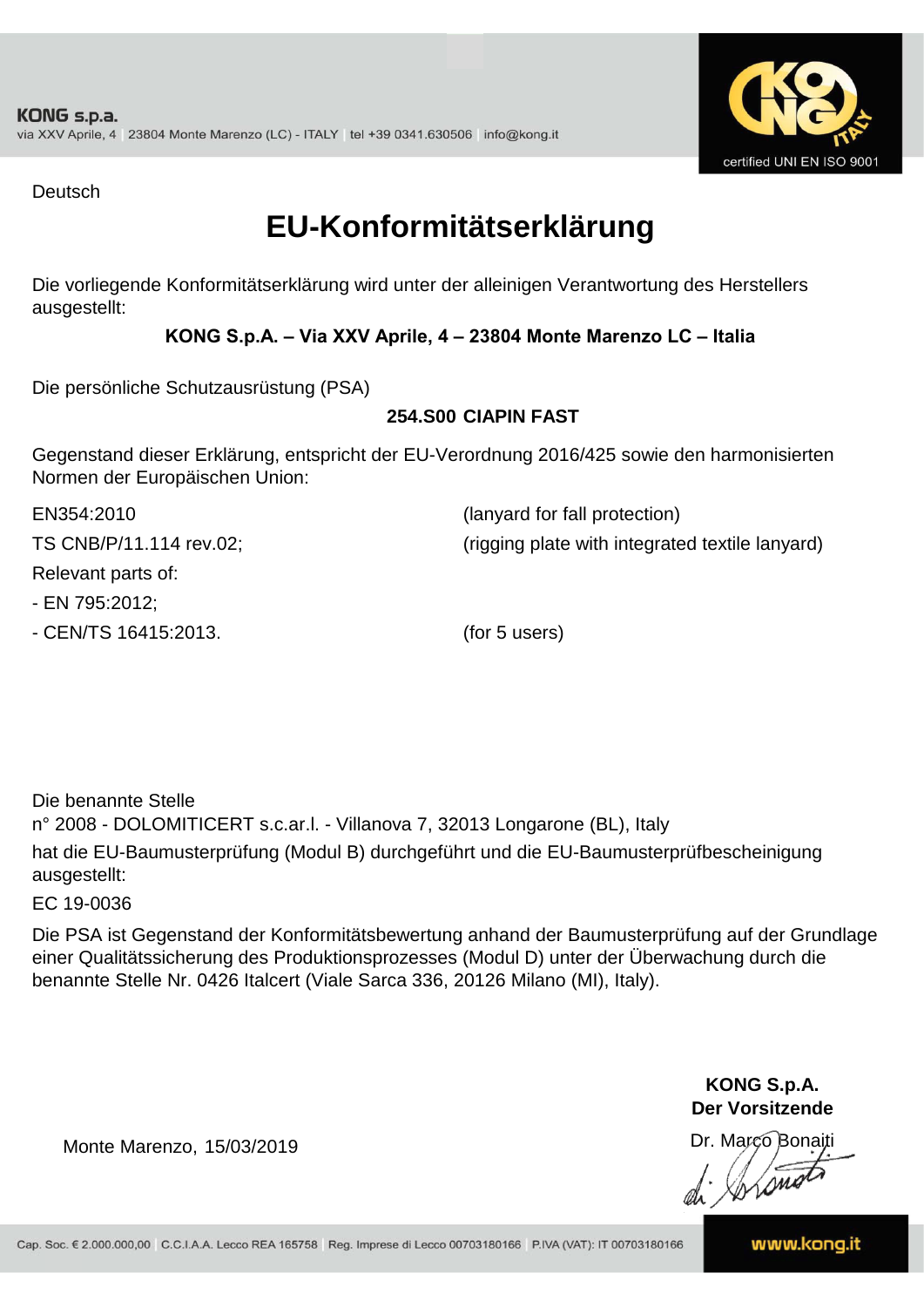

Deutsch

### **EU-Konformitätserklärung**

Die vorliegende Konformitätserklärung wird unter der alleinigen Verantwortung des Herstellers ausgestellt:

#### **KONG S.p.A. – Via XXV Aprile, 4 – 23804 Monte Marenzo LC – Italia**

Die persönliche Schutzausrüstung (PSA)

#### **254.S00 CIAPIN FAST**

Gegenstand dieser Erklärung, entspricht der EU-Verordnung 2016/425 sowie den harmonisierten Normen der Europäischen Union:

| EN354:2010              | (lanyard for fall protection)                   |
|-------------------------|-------------------------------------------------|
| TS CNB/P/11.114 rev.02; | (rigging plate with integrated textile lanyard) |
| Relevant parts of:      |                                                 |
| - EN 795:2012;          |                                                 |
| - CEN/TS 16415:2013.    | (for 5 users)                                   |

Die benannte Stelle n° 2008 - DOLOMITICERT s.c.ar.l. - Villanova 7, 32013 Longarone (BL), Italy hat die EU-Baumusterprüfung (Modul B) durchgeführt und die EU-Baumusterprüfbescheinigung ausgestellt:

EC 19-0036

Die PSA ist Gegenstand der Konformitätsbewertung anhand der Baumusterprüfung auf der Grundlage einer Qualitätssicherung des Produktionsprozesses (Modul D) unter der Überwachung durch die benannte Stelle Nr. 0426 Italcert (Viale Sarca 336, 20126 Milano (MI), Italy).

> **KONG S.p.A. Der Vorsitzende**

Dr. Marco Bonaiti

Monte Marenzo, 15/03/2019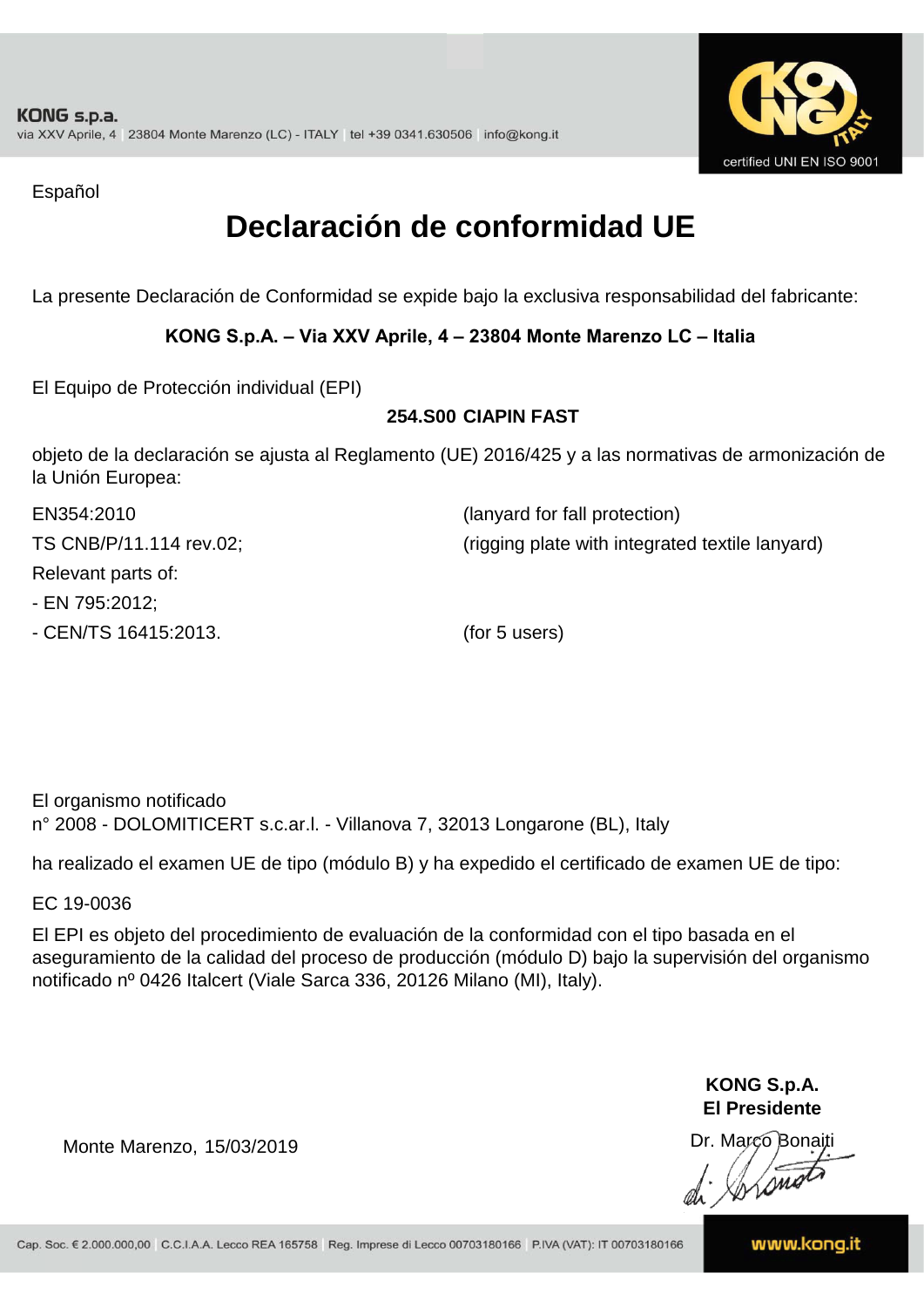

Español

### **Declaración de conformidad UE**

La presente Declaración de Conformidad se expide bajo la exclusiva responsabilidad del fabricante:

#### **KONG S.p.A. – Via XXV Aprile, 4 – 23804 Monte Marenzo LC – Italia**

El Equipo de Protección individual (EPI)

#### **254.S00 CIAPIN FAST**

objeto de la declaración se ajusta al Reglamento (UE) 2016/425 y a las normativas de armonización de la Unión Europea:

| EN354:2010              | (lanyard for fall protection)                   |
|-------------------------|-------------------------------------------------|
| TS CNB/P/11.114 rev.02; | (rigging plate with integrated textile lanyard) |
| Relevant parts of:      |                                                 |
| - EN 795:2012;          |                                                 |
| - CEN/TS 16415:2013.    | (for 5 users)                                   |

El organismo notificado n° 2008 - DOLOMITICERT s.c.ar.l. - Villanova 7, 32013 Longarone (BL), Italy

ha realizado el examen UE de tipo (módulo B) y ha expedido el certificado de examen UE de tipo:

EC 19-0036

El EPI es objeto del procedimiento de evaluación de la conformidad con el tipo basada en el aseguramiento de la calidad del proceso de producción (módulo D) bajo la supervisión del organismo notificado nº 0426 Italcert (Viale Sarca 336, 20126 Milano (MI), Italy).

> **KONG S.p.A. El Presidente**

Dr. Marco Bonaiti di Aromor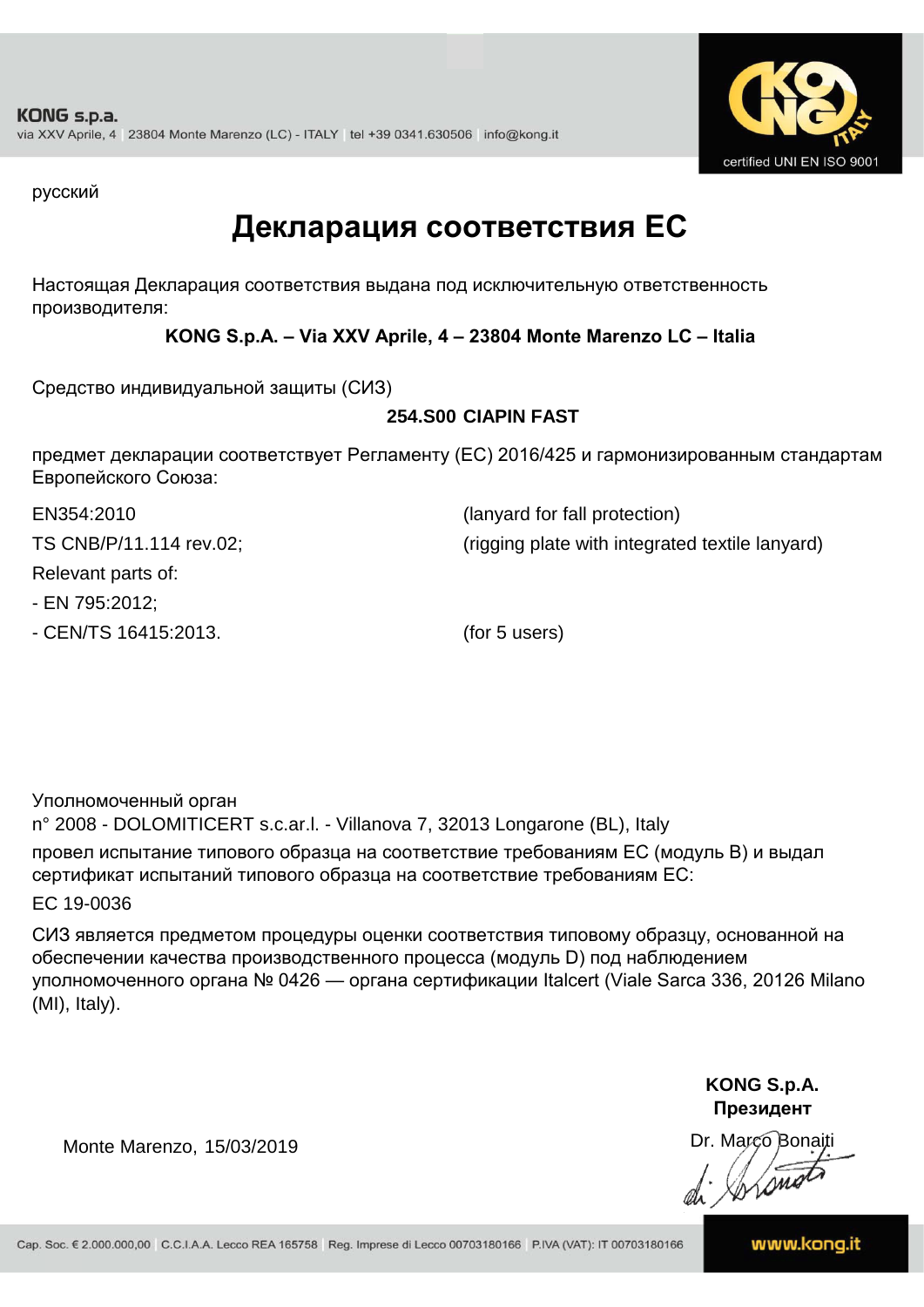

русский

### **Декларация соответствия ЕС**

Настоящая Декларация соответствия выдана под исключительную ответственность производителя:

**KONG S.p.A. – Via XXV Aprile, 4 – 23804 Monte Marenzo LC – Italia**

Средство индивидуальной защиты (СИЗ)

#### **254.S00 CIAPIN FAST**

предмет декларации соответствует Регламенту (ЕС) 2016/425 и гармонизированным стандартам Европейского Союза:

| EN354:2010              | (lanyard for fall protection)                   |
|-------------------------|-------------------------------------------------|
| TS CNB/P/11.114 rev.02; | (rigging plate with integrated textile lanyard) |
| Relevant parts of:      |                                                 |
| - EN 795:2012;          |                                                 |

- CEN/TS 16415:2013. (for 5 users)

Уполномоченный орган

n° 2008 - DOLOMITICERT s.c.ar.l. - Villanova 7, 32013 Longarone (BL), Italy провел испытание типового образца на соответствие требованиям ЕС (модуль B) и выдал сертификат испытаний типового образца на соответствие требованиям ЕС:

EC 19-0036

СИЗ является предметом процедуры оценки соответствия типовому образцу, основанной на обеспечении качества производственного процесса (модуль D) под наблюдением уполномоченного органа № 0426 — органа сертификации Italcert (Viale Sarca 336, 20126 Milano (MI), Italy).

> **KONG S.p.A. Президент**

Dr. Marco Bonaiti

Monte Marenzo, 15/03/2019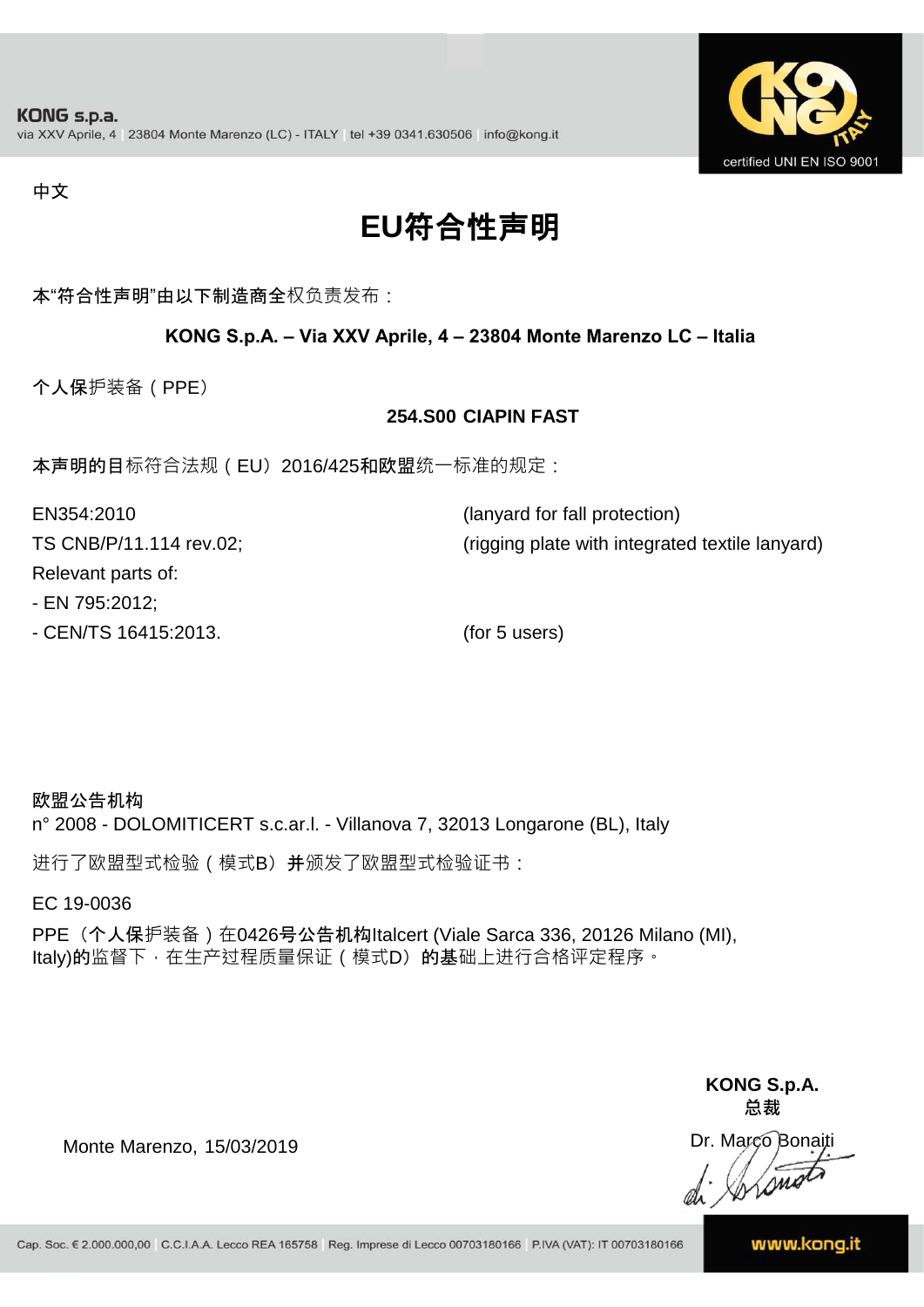

#### 中文

## **EU**符合性声明

本"符合性声明"由以下制造商全权负责发布:

#### **KONG S.p.A. – Via XXV Aprile, 4 – 23804 Monte Marenzo LC – Italia**

个人保护装备(PPE)

#### **254.S00 CIAPIN FAST**

本声明的目标符合法规(EU) 2016/425和欧盟统一标准的规定:

| EN354:2010              | (lanyard for fall protection)                   |
|-------------------------|-------------------------------------------------|
| TS CNB/P/11.114 rev.02; | (rigging plate with integrated textile lanyard) |
| Relevant parts of:      |                                                 |
| - EN 795:2012;          |                                                 |

- CEN/TS 16415:2013. (for 5 users)

欧盟公告机构 n° 2008 - DOLOMITICERT s.c.ar.l. - Villanova 7, 32013 Longarone (BL), Italy

进行了欧盟型式检验(模式B)并颁发了欧盟型式检验证书:

EC 19-0036

PPE (个人保护装备) 在0426号公告机构Italcert (Viale Sarca 336, 20126 Milano (MI), Italy)的监督下, 在生产过程质量保证 ( 模式D) 的基础上进行合格评定程序。

> **KONG S.p.A. 总裁**

Dr. Marco Bonaiti di Stono

Monte Marenzo, 15/03/2019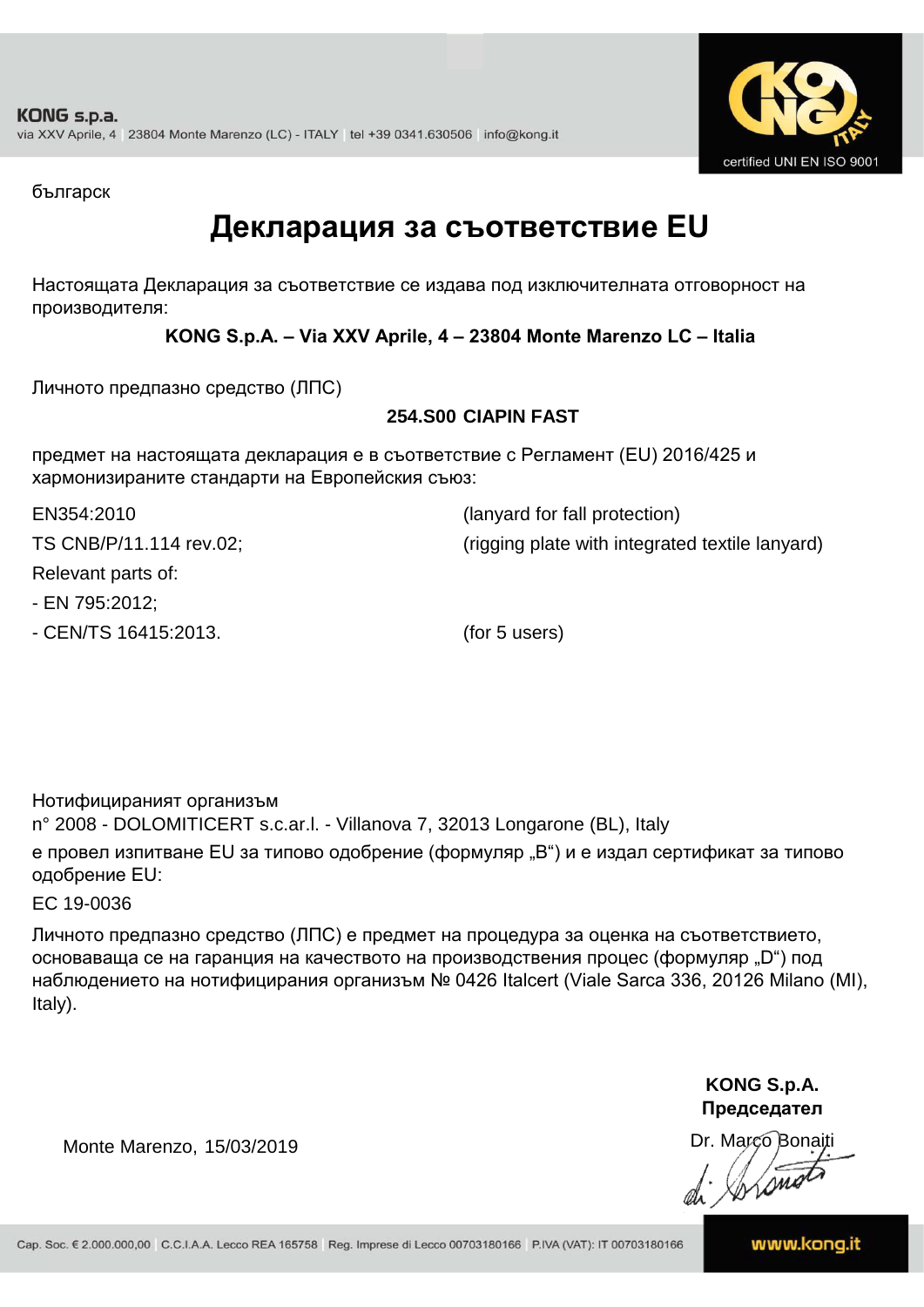

българск

### **Декларация за съответствие EU**

Настоящата Декларация за съответствие се издава под изключителната отговорност на производителя:

**KONG S.p.A. – Via XXV Aprile, 4 – 23804 Monte Marenzo LC – Italia**

Личното предпазно средство (ЛПС)

#### **254.S00 CIAPIN FAST**

предмет на настоящата декларация е в съответствие с Регламент (ЕU) 2016/425 и хармонизираните стандарти на Европейския съюз:

EN354:2010 (lanyard for fall protection)

TS CNB/P/11.114 rev.02; (rigging plate with integrated textile lanyard)

Relevant parts of:

- EN 795:2012;

- CEN/TS 16415:2013. (for 5 users)

Нотифицираният организъм

n° 2008 - DOLOMITICERT s.c.ar.l. - Villanova 7, 32013 Longarone (BL), Italy

е провел изпитване EU за типово одобрение (формуляр "B") и е издал сертификат за типово одобрение ЕU:

EC 19-0036

Личното предпазно средство (ЛПС) е предмет на процедура за оценка на съответствието, основаваща се на гаранция на качеството на производствения процес (формуляр "D") под наблюдението на нотифицирания организъм № 0426 Italcert (Viale Sarca 336, 20126 Milano (MI), Italy).

> **KONG S.p.A. Председател**

Dr. Marco Bonaiti di Aromor

Monte Marenzo, 15/03/2019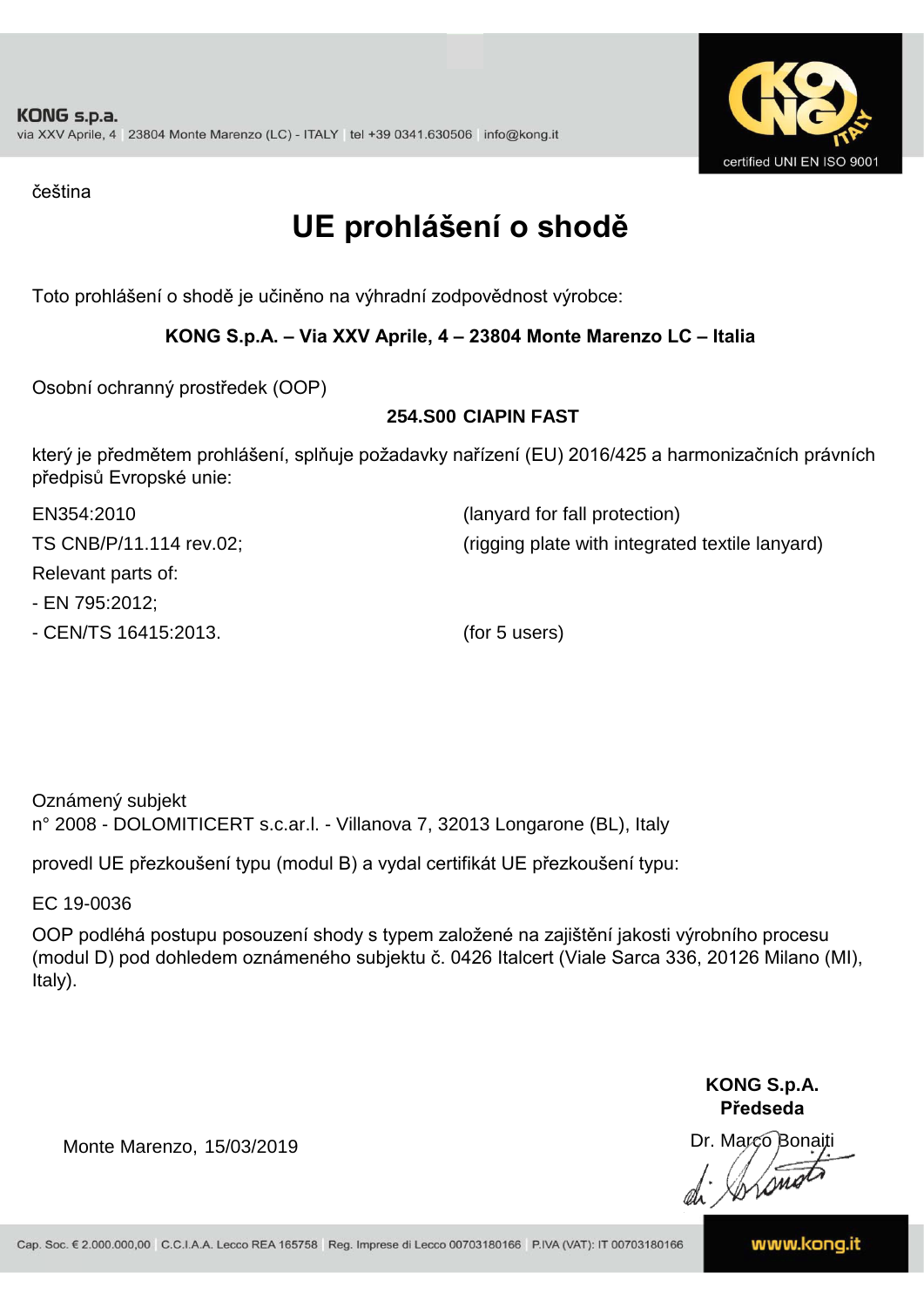

čeština

### **UE prohlášení o shodě**

Toto prohlášení o shodě je učiněno na výhradní zodpovědnost výrobce:

#### **KONG S.p.A. – Via XXV Aprile, 4 – 23804 Monte Marenzo LC – Italia**

Osobní ochranný prostředek (OOP)

#### **254.S00 CIAPIN FAST**

který je předmětem prohlášení, splňuje požadavky nařízení (EU) 2016/425 a harmonizačních právních předpisů Evropské unie:

| EN354:2010              | (lanyard for fall protection)                   |
|-------------------------|-------------------------------------------------|
| TS CNB/P/11.114 rev.02; | (rigging plate with integrated textile lanyard) |
| Relevant parts of:      |                                                 |
| - EN 795:2012;          |                                                 |
| - CEN/TS 16415:2013.    | (for 5 users)                                   |

Oznámený subjekt n° 2008 - DOLOMITICERT s.c.ar.l. - Villanova 7, 32013 Longarone (BL), Italy

provedl UE přezkoušení typu (modul B) a vydal certifikát UE přezkoušení typu:

EC 19-0036

OOP podléhá postupu posouzení shody s typem založené na zajištění jakosti výrobního procesu (modul D) pod dohledem oznámeného subjektu č. 0426 Italcert (Viale Sarca 336, 20126 Milano (MI), Italy).

> **KONG S.p.A. Předseda**

Dr. Marco Bonaiti di Simon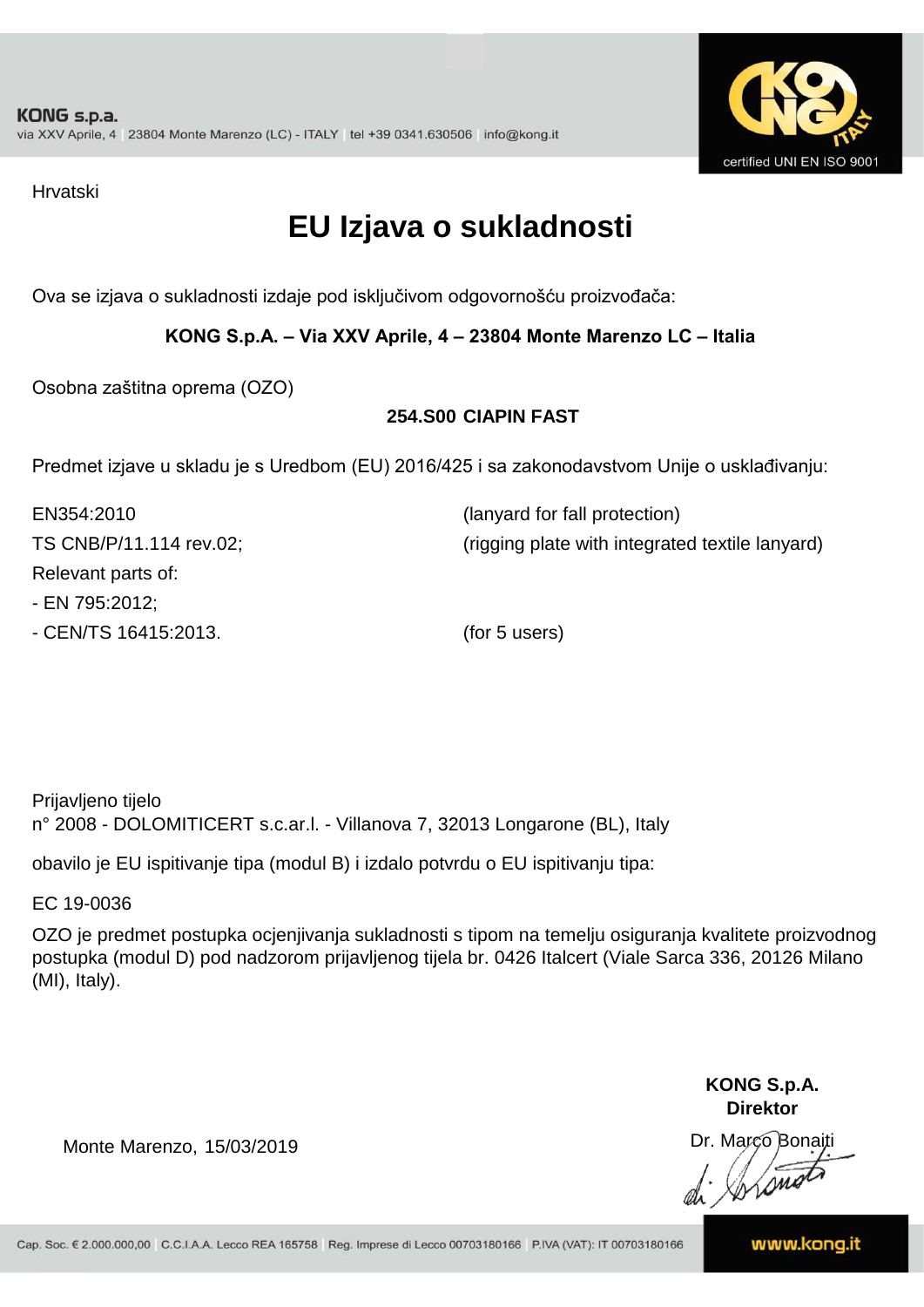

Hrvatski

### **EU Izjava o sukladnosti**

Ova se izjava o sukladnosti izdaje pod isključivom odgovornošću proizvođača:

#### **KONG S.p.A. – Via XXV Aprile, 4 – 23804 Monte Marenzo LC – Italia**

Osobna zaštitna oprema (OZO)

#### **254.S00 CIAPIN FAST**

Predmet izjave u skladu je s Uredbom (EU) 2016/425 i sa zakonodavstvom Unije o usklađivanju:

| EN354:2010              | (lanyard for fall protection)                   |
|-------------------------|-------------------------------------------------|
| TS CNB/P/11.114 rev.02; | (rigging plate with integrated textile lanyard) |
| Relevant parts of:      |                                                 |
| - EN 795:2012;          |                                                 |
| - CEN/TS 16415:2013.    | (for 5 users)                                   |

Prijavljeno tijelo n° 2008 - DOLOMITICERT s.c.ar.l. - Villanova 7, 32013 Longarone (BL), Italy

obavilo je EU ispitivanje tipa (modul B) i izdalo potvrdu o EU ispitivanju tipa:

EC 19-0036

OZO je predmet postupka ocjenjivanja sukladnosti s tipom na temelju osiguranja kvalitete proizvodnog postupka (modul D) pod nadzorom prijavljenog tijela br. 0426 Italcert (Viale Sarca 336, 20126 Milano (MI), Italy).

> **KONG S.p.A. Direktor**

Dr. Marco Bonaiti di Stono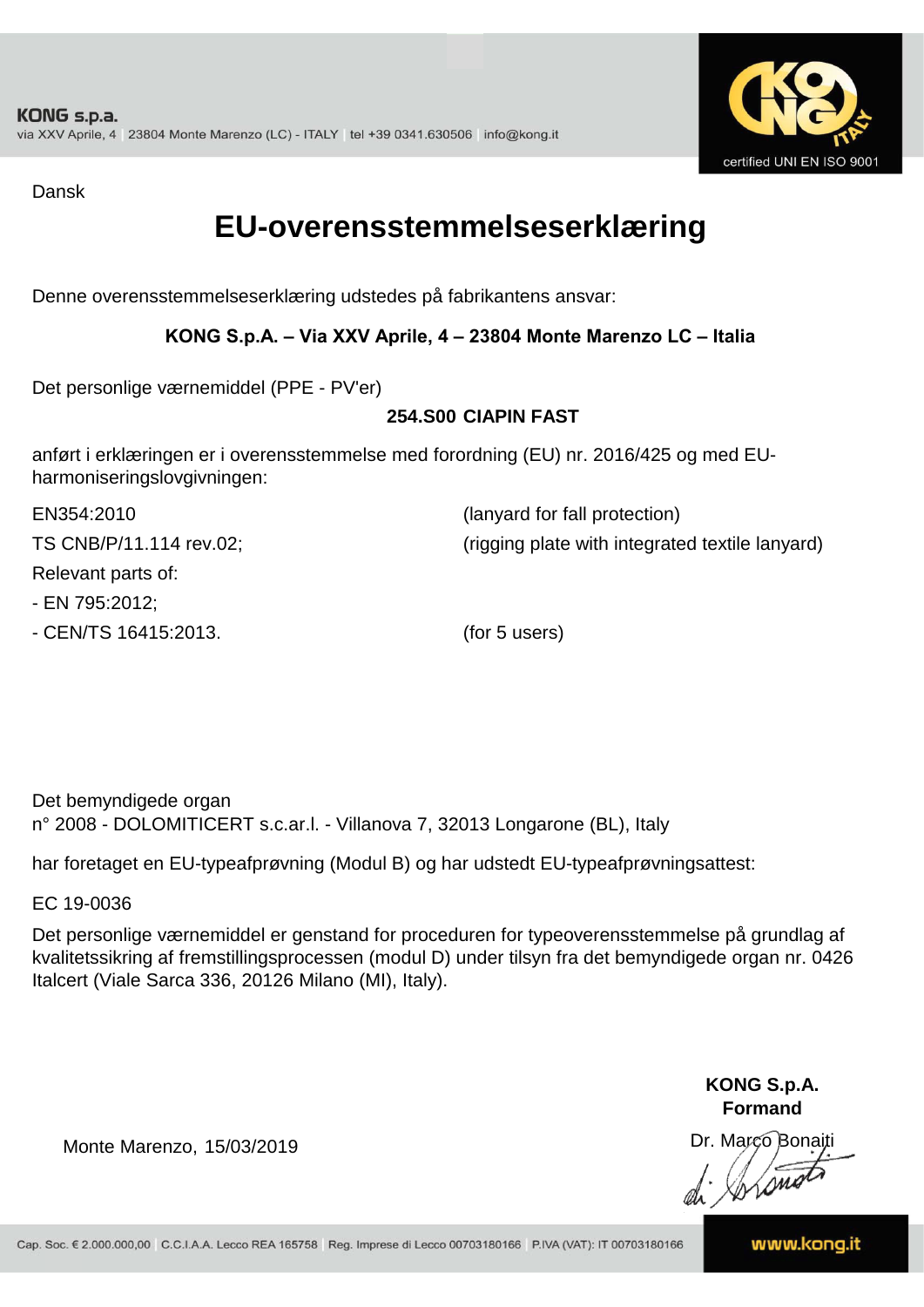

Dansk

### **EU-overensstemmelseserklæring**

Denne overensstemmelseserklæring udstedes på fabrikantens ansvar:

#### **KONG S.p.A. – Via XXV Aprile, 4 – 23804 Monte Marenzo LC – Italia**

Det personlige værnemiddel (PPE - PV'er)

#### **254.S00 CIAPIN FAST**

anført i erklæringen er i overensstemmelse med forordning (EU) nr. 2016/425 og med EUharmoniseringslovgivningen:

| EN354:2010              | (lanyard for fall protection)                   |
|-------------------------|-------------------------------------------------|
| TS CNB/P/11.114 rev.02; | (rigging plate with integrated textile lanyard) |
| Relevant parts of:      |                                                 |
| - EN 795:2012;          |                                                 |
| - CEN/TS 16415:2013.    | (for 5 users)                                   |

Det bemyndigede organ n° 2008 - DOLOMITICERT s.c.ar.l. - Villanova 7, 32013 Longarone (BL), Italy

har foretaget en EU-typeafprøvning (Modul B) og har udstedt EU-typeafprøvningsattest:

EC 19-0036

Det personlige værnemiddel er genstand for proceduren for typeoverensstemmelse på grundlag af kvalitetssikring af fremstillingsprocessen (modul D) under tilsyn fra det bemyndigede organ nr. 0426 Italcert (Viale Sarca 336, 20126 Milano (MI), Italy).

> **KONG S.p.A. Formand**

Dr. Marco Bonaiti di Aromor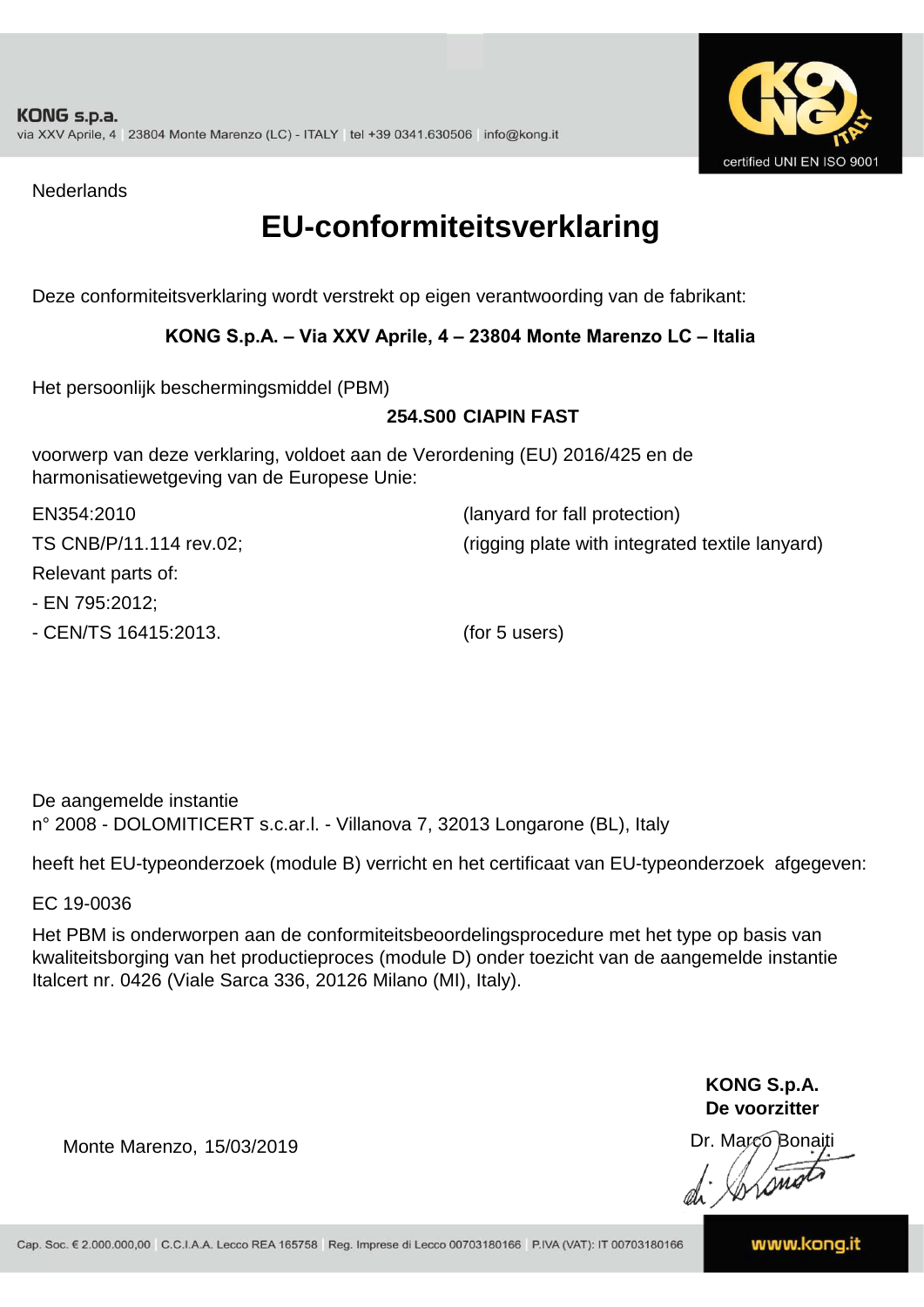

**Nederlands** 

### **EU-conformiteitsverklaring**

Deze conformiteitsverklaring wordt verstrekt op eigen verantwoording van de fabrikant:

#### **KONG S.p.A. – Via XXV Aprile, 4 – 23804 Monte Marenzo LC – Italia**

Het persoonlijk beschermingsmiddel (PBM)

#### **254.S00 CIAPIN FAST**

voorwerp van deze verklaring, voldoet aan de Verordening (EU) 2016/425 en de harmonisatiewetgeving van de Europese Unie:

| EN354:2010              | (lanyard for fall protection)                   |
|-------------------------|-------------------------------------------------|
| TS CNB/P/11.114 rev.02; | (rigging plate with integrated textile lanyard) |
| Relevant parts of:      |                                                 |
| - EN 795:2012;          |                                                 |

- CEN/TS 16415:2013. (for 5 users)

De aangemelde instantie n° 2008 - DOLOMITICERT s.c.ar.l. - Villanova 7, 32013 Longarone (BL), Italy

heeft het EU-typeonderzoek (module B) verricht en het certificaat van EU-typeonderzoek afgegeven:

EC 19-0036

Het PBM is onderworpen aan de conformiteitsbeoordelingsprocedure met het type op basis van kwaliteitsborging van het productieproces (module D) onder toezicht van de aangemelde instantie Italcert nr. 0426 (Viale Sarca 336, 20126 Milano (MI), Italy).

> **KONG S.p.A. De voorzitter**

Dr. Marco Bonaiti

Monte Marenzo, 15/03/2019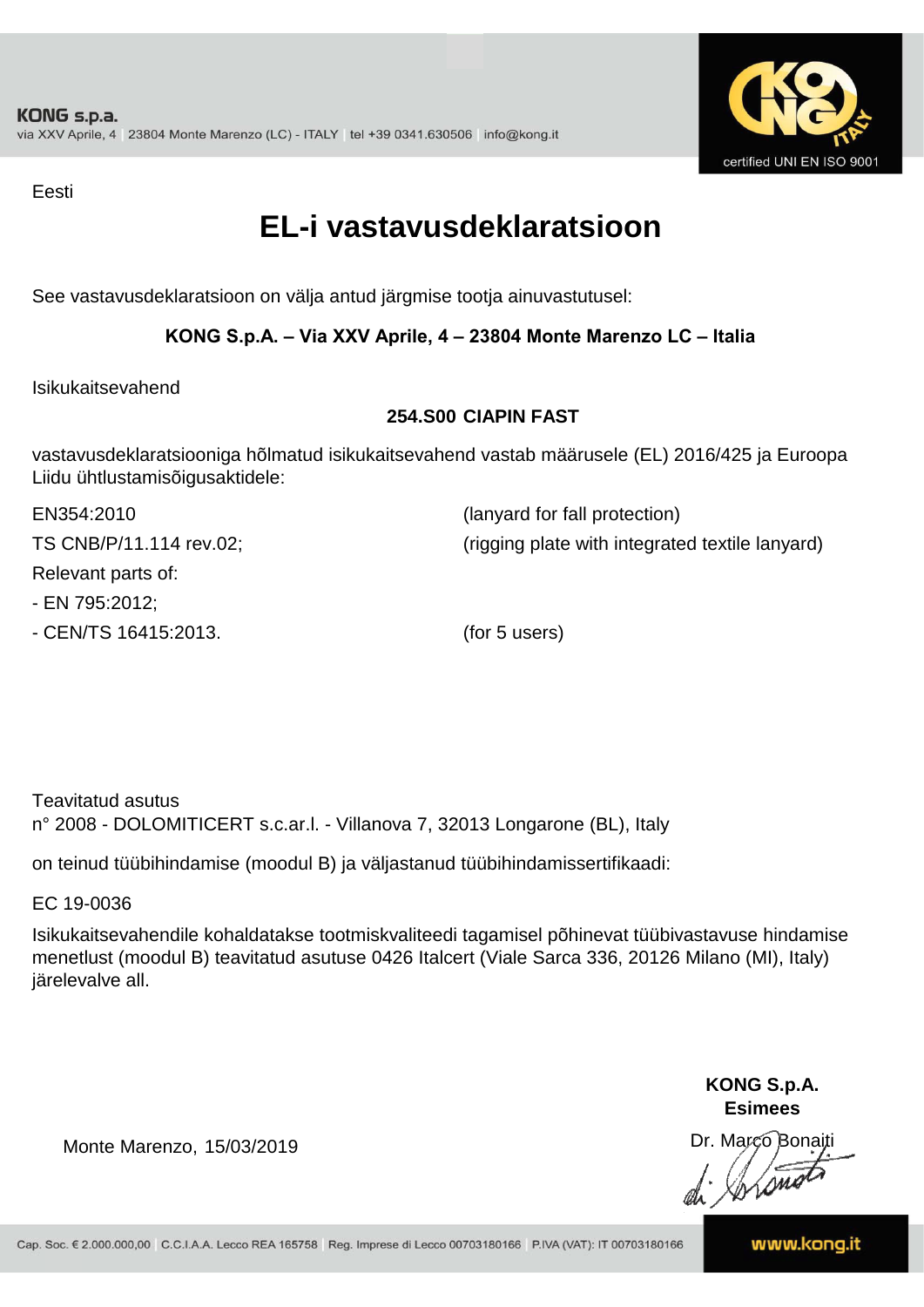

Eesti

### **EL-i vastavusdeklaratsioon**

See vastavusdeklaratsioon on välja antud järgmise tootja ainuvastutusel:

#### **KONG S.p.A. – Via XXV Aprile, 4 – 23804 Monte Marenzo LC – Italia**

Isikukaitsevahend

#### **254.S00 CIAPIN FAST**

vastavusdeklaratsiooniga hõlmatud isikukaitsevahend vastab määrusele (EL) 2016/425 ja Euroopa Liidu ühtlustamisõigusaktidele:

| EN354:2010              | (lanyard for fall protection)                   |
|-------------------------|-------------------------------------------------|
| TS CNB/P/11.114 rev.02; | (rigging plate with integrated textile lanyard) |
| Relevant parts of:      |                                                 |
| - EN 795:2012;          |                                                 |
| - CEN/TS 16415:2013.    | (for 5 users)                                   |

Teavitatud asutus n° 2008 - DOLOMITICERT s.c.ar.l. - Villanova 7, 32013 Longarone (BL), Italy

on teinud tüübihindamise (moodul B) ja väljastanud tüübihindamissertifikaadi:

EC 19-0036

Isikukaitsevahendile kohaldatakse tootmiskvaliteedi tagamisel põhinevat tüübivastavuse hindamise menetlust (moodul B) teavitatud asutuse 0426 Italcert (Viale Sarca 336, 20126 Milano (MI), Italy) järelevalve all.

> **KONG S.p.A. Esimees**

Dr. Marco Bonaiti di Stano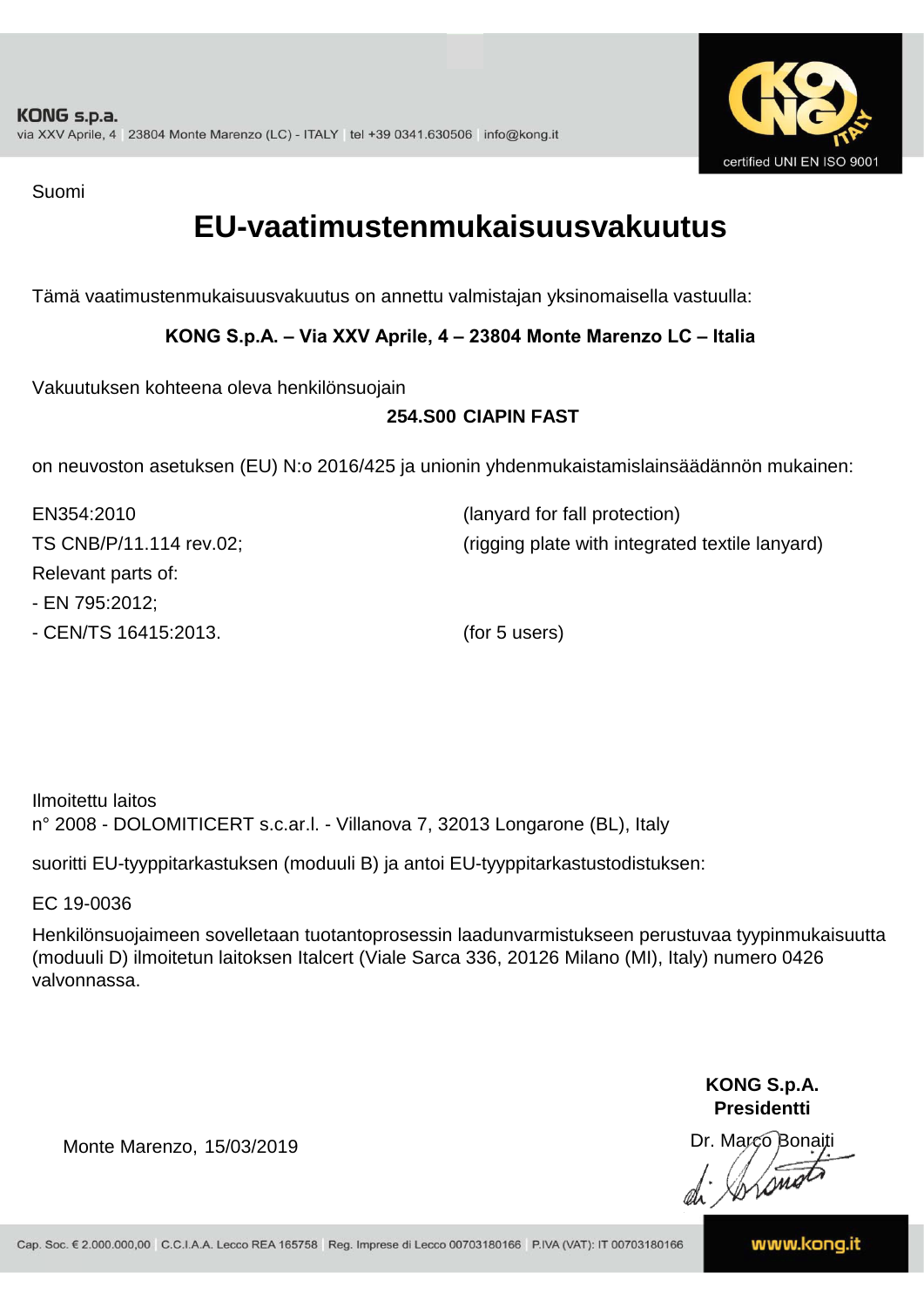

Suomi

### **EU-vaatimustenmukaisuusvakuutus**

Tämä vaatimustenmukaisuusvakuutus on annettu valmistajan yksinomaisella vastuulla:

#### **KONG S.p.A. – Via XXV Aprile, 4 – 23804 Monte Marenzo LC – Italia**

Vakuutuksen kohteena oleva henkilönsuojain

#### **254.S00 CIAPIN FAST**

on neuvoston asetuksen (EU) N:o 2016/425 ja unionin yhdenmukaistamislainsäädännön mukainen:

| EN354:2010              | (lanyard for fall protection)                   |
|-------------------------|-------------------------------------------------|
| TS CNB/P/11.114 rev.02; | (rigging plate with integrated textile lanyard) |
| Relevant parts of:      |                                                 |
| - EN 795:2012;          |                                                 |
| - CEN/TS 16415:2013.    | (for 5 users)                                   |

Ilmoitettu laitos n° 2008 - DOLOMITICERT s.c.ar.l. - Villanova 7, 32013 Longarone (BL), Italy

suoritti EU-tyyppitarkastuksen (moduuli B) ja antoi EU-tyyppitarkastustodistuksen:

EC 19-0036

Henkilönsuojaimeen sovelletaan tuotantoprosessin laadunvarmistukseen perustuvaa tyypinmukaisuutta (moduuli D) ilmoitetun laitoksen Italcert (Viale Sarca 336, 20126 Milano (MI), Italy) numero 0426 valvonnassa.

> **KONG S.p.A. Presidentti**

Dr. Marco Bonaiti di Stono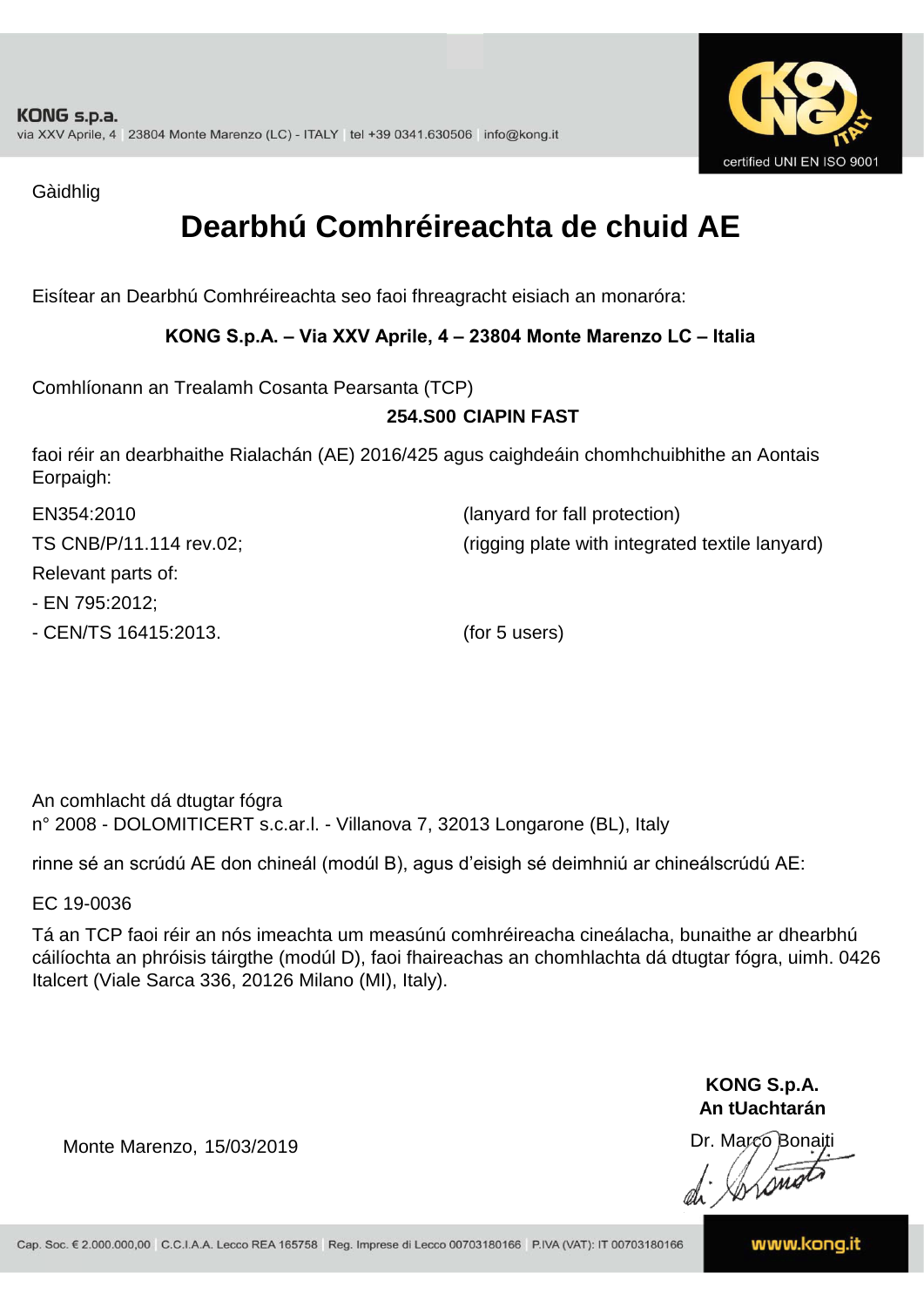

Gàidhlig

### **Dearbhú Comhréireachta de chuid AE**

Eisítear an Dearbhú Comhréireachta seo faoi fhreagracht eisiach an monaróra:

#### **KONG S.p.A. – Via XXV Aprile, 4 – 23804 Monte Marenzo LC – Italia**

Comhlíonann an Trealamh Cosanta Pearsanta (TCP)

#### **254.S00 CIAPIN FAST**

faoi réir an dearbhaithe Rialachán (AE) 2016/425 agus caighdeáin chomhchuibhithe an Aontais Eorpaigh:

| EN354:2010              | (lanyard for fall protection)                   |
|-------------------------|-------------------------------------------------|
| TS CNB/P/11.114 rev.02; | (rigging plate with integrated textile lanyard) |
| Relevant parts of:      |                                                 |
| - EN 795:2012;          |                                                 |
| - CEN/TS 16415:2013.    | (for 5 users)                                   |

An comhlacht dá dtugtar fógra n° 2008 - DOLOMITICERT s.c.ar.l. - Villanova 7, 32013 Longarone (BL), Italy

rinne sé an scrúdú AE don chineál (modúl B), agus d'eisigh sé deimhniú ar chineálscrúdú AE:

EC 19-0036

Tá an TCP faoi réir an nós imeachta um measúnú comhréireacha cineálacha, bunaithe ar dhearbhú cáilíochta an phróisis táirgthe (modúl D), faoi fhaireachas an chomhlachta dá dtugtar fógra, uimh. 0426 Italcert (Viale Sarca 336, 20126 Milano (MI), Italy).

> **KONG S.p.A. An tUachtarán**

Dr. Marco Bonaiti di Stonom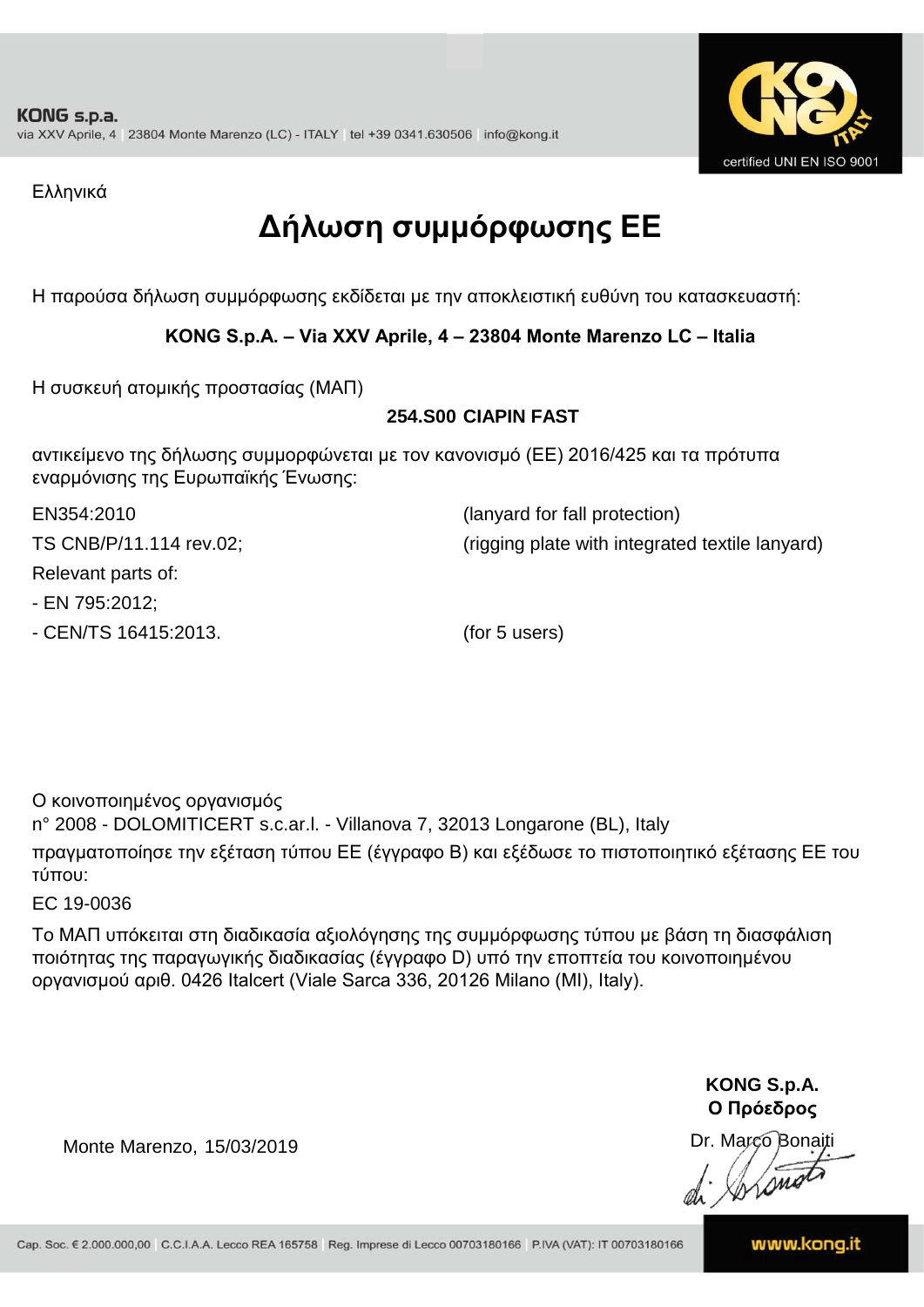

Ελληνικά

### **Δήλωση συμμόρφωσης ΕE**

Η παρούσα δήλωση συμμόρφωσης εκδίδεται με την αποκλειστική ευθύνη του κατασκευαστή:

#### **KONG S.p.A. – Via XXV Aprile, 4 – 23804 Monte Marenzo LC – Italia**

Η συσκευή ατομικής προστασίας (ΜΑΠ)

#### **254.S00 CIAPIN FAST**

αντικείμενο της δήλωσης συμμορφώνεται με τον κανονισμό (ΕΕ) 2016/425 και τα πρότυπα εναρμόνισης της Ευρωπαϊκής Ένωσης:

TS CNB/P/11.114 rev.02; (rigging plate with integrated textile lanyard)

EN354:2010 (lanyard for fall protection)

Relevant parts of:

- EN 795:2012;

- CEN/TS 16415:2013. (for 5 users)

Ο κοινοποιημένος οργανισμός

n° 2008 - DOLOMITICERT s.c.ar.l. - Villanova 7, 32013 Longarone (BL), Italy πραγματοποίησε την εξέταση τύπου ΕΕ (έγγραφο Β) και εξέδωσε το πιστοποιητικό εξέτασης ΕΕ του τύπου:

EC 19-0036

Το ΜΑΠ υπόκειται στη διαδικασία αξιολόγησης της συμμόρφωσης τύπου με βάση τη διασφάλιση ποιότητας της παραγωγικής διαδικασίας (έγγραφο D) υπό την εποπτεία του κοινοποιημένου οργανισμού αριθ. 0426 Italcert (Viale Sarca 336, 20126 Milano (MI), Italy).

> **KONG S.p.A. Ο Πρόεδρος**

Dr. Marco Bonaiti di Aromor

Monte Marenzo, 15/03/2019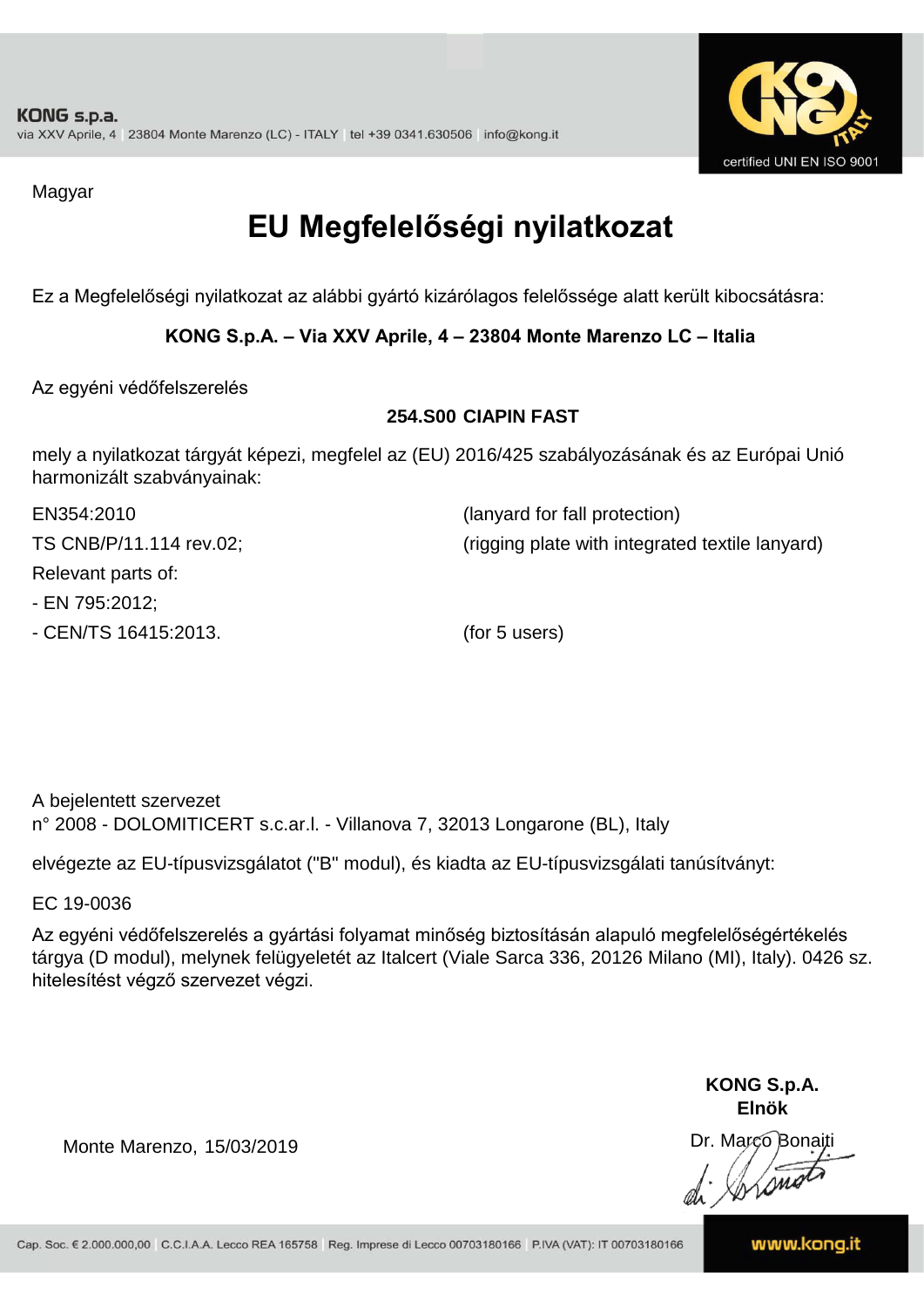

Magyar

## **EU Megfelelőségi nyilatkozat**

Ez a Megfelelőségi nyilatkozat az alábbi gyártó kizárólagos felelőssége alatt került kibocsátásra:

#### **KONG S.p.A. – Via XXV Aprile, 4 – 23804 Monte Marenzo LC – Italia**

Az egyéni védőfelszerelés

#### **254.S00 CIAPIN FAST**

mely a nyilatkozat tárgyát képezi, megfelel az (EU) 2016/425 szabályozásának és az Európai Unió harmonizált szabványainak:

| EN354:2010              | (lanyard for fall protection)                   |
|-------------------------|-------------------------------------------------|
| TS CNB/P/11.114 rev.02; | (rigging plate with integrated textile lanyard) |
| Relevant parts of:      |                                                 |
| - EN 795:2012;          |                                                 |
| - CEN/TS 16415:2013.    | (for 5 users)                                   |

A bejelentett szervezet n° 2008 - DOLOMITICERT s.c.ar.l. - Villanova 7, 32013 Longarone (BL), Italy

elvégezte az EU-típusvizsgálatot ("B" modul), és kiadta az EU-típusvizsgálati tanúsítványt:

EC 19-0036

Az egyéni védőfelszerelés a gyártási folyamat minőség biztosításán alapuló megfelelőségértékelés tárgya (D modul), melynek felügyeletét az Italcert (Viale Sarca 336, 20126 Milano (MI), Italy). 0426 sz. hitelesítést végző szervezet végzi.

> **KONG S.p.A. Elnök**

Dr. Marco Bonaiti di Aromor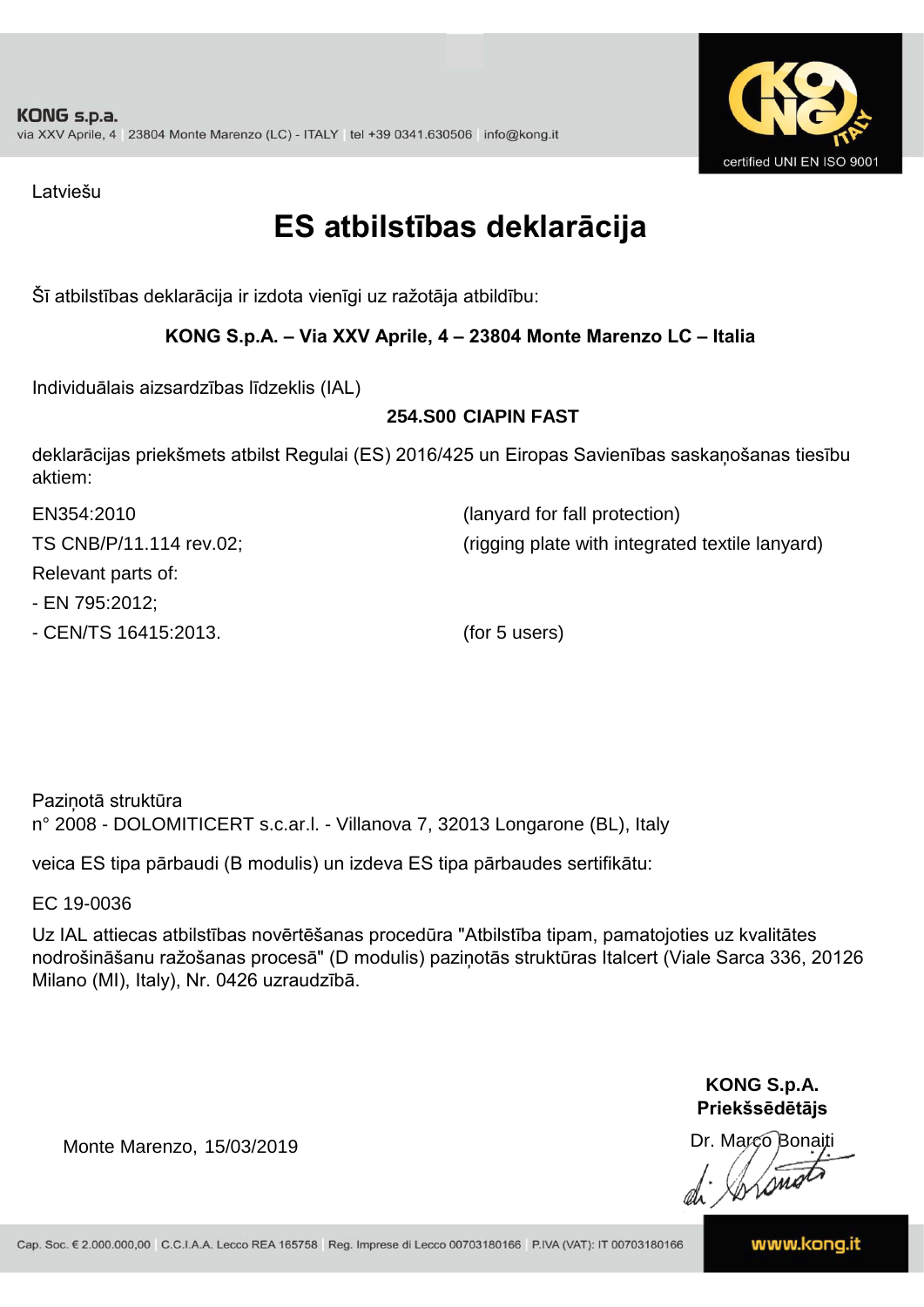

Latviešu

### **ES atbilstības deklarācija**

Šī atbilstības deklarācija ir izdota vienīgi uz ražotāja atbildību:

#### **KONG S.p.A. – Via XXV Aprile, 4 – 23804 Monte Marenzo LC – Italia**

Individuālais aizsardzības līdzeklis (IAL)

#### **254.S00 CIAPIN FAST**

deklarācijas priekšmets atbilst Regulai (ES) 2016/425 un Eiropas Savienības saskaņošanas tiesību aktiem:

| EN354:2010              | (lanyard for fall protection)                   |
|-------------------------|-------------------------------------------------|
| TS CNB/P/11.114 rev.02; | (rigging plate with integrated textile lanyard) |
| Relevant parts of:      |                                                 |
| - EN 795:2012;          |                                                 |
| - CEN/TS 16415:2013.    | (for 5 users)                                   |

Paziņotā struktūra n° 2008 - DOLOMITICERT s.c.ar.l. - Villanova 7, 32013 Longarone (BL), Italy

veica ES tipa pārbaudi (B modulis) un izdeva ES tipa pārbaudes sertifikātu:

EC 19-0036

Uz IAL attiecas atbilstības novērtēšanas procedūra "Atbilstība tipam, pamatojoties uz kvalitātes nodrošināšanu ražošanas procesā" (D modulis) paziņotās struktūras Italcert (Viale Sarca 336, 20126 Milano (MI), Italy), Nr. 0426 uzraudzībā.

> **KONG S.p.A. Priekšsēdētājs**

Dr. Marco Bonaiti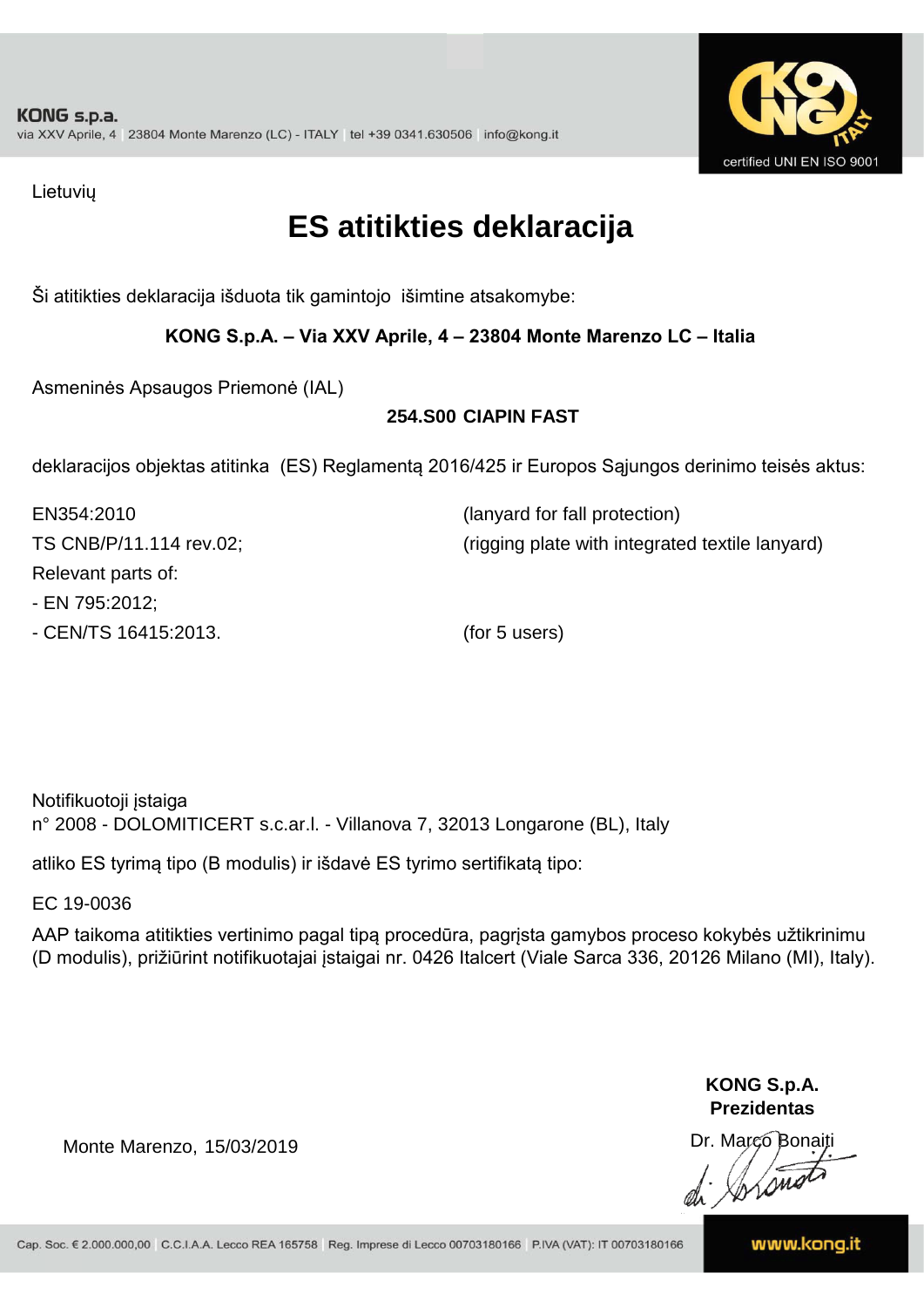

Lietuvių

### **ES atitikties deklaracija**

Ši atitikties deklaracija išduota tik gamintojo išimtine atsakomybe:

#### **KONG S.p.A. – Via XXV Aprile, 4 – 23804 Monte Marenzo LC – Italia**

Asmeninės Apsaugos Priemonė (IAL)

#### **254.S00 CIAPIN FAST**

deklaracijos objektas atitinka (ES) Reglamentą 2016/425 ir Europos Sąjungos derinimo teisės aktus:

| EN354:2010              | (lanyard for fall protection)                   |
|-------------------------|-------------------------------------------------|
| TS CNB/P/11.114 rev.02; | (rigging plate with integrated textile lanyard) |
| Relevant parts of:      |                                                 |
| - EN 795:2012;          |                                                 |
| - CEN/TS 16415:2013.    | (for 5 users)                                   |

Notifikuotoji įstaiga n° 2008 - DOLOMITICERT s.c.ar.l. - Villanova 7, 32013 Longarone (BL), Italy

atliko ES tyrimą tipo (B modulis) ir išdavė ES tyrimo sertifikatą tipo:

EC 19-0036

AAP taikoma atitikties vertinimo pagal tipą procedūra, pagrįsta gamybos proceso kokybės užtikrinimu (D modulis), prižiūrint notifikuotajai įstaigai nr. 0426 Italcert (Viale Sarca 336, 20126 Milano (MI), Italy).

> **KONG S.p.A. Prezidentas**

Dr. Marco Bonaiti di Aromo

Monte Marenzo, 15/03/2019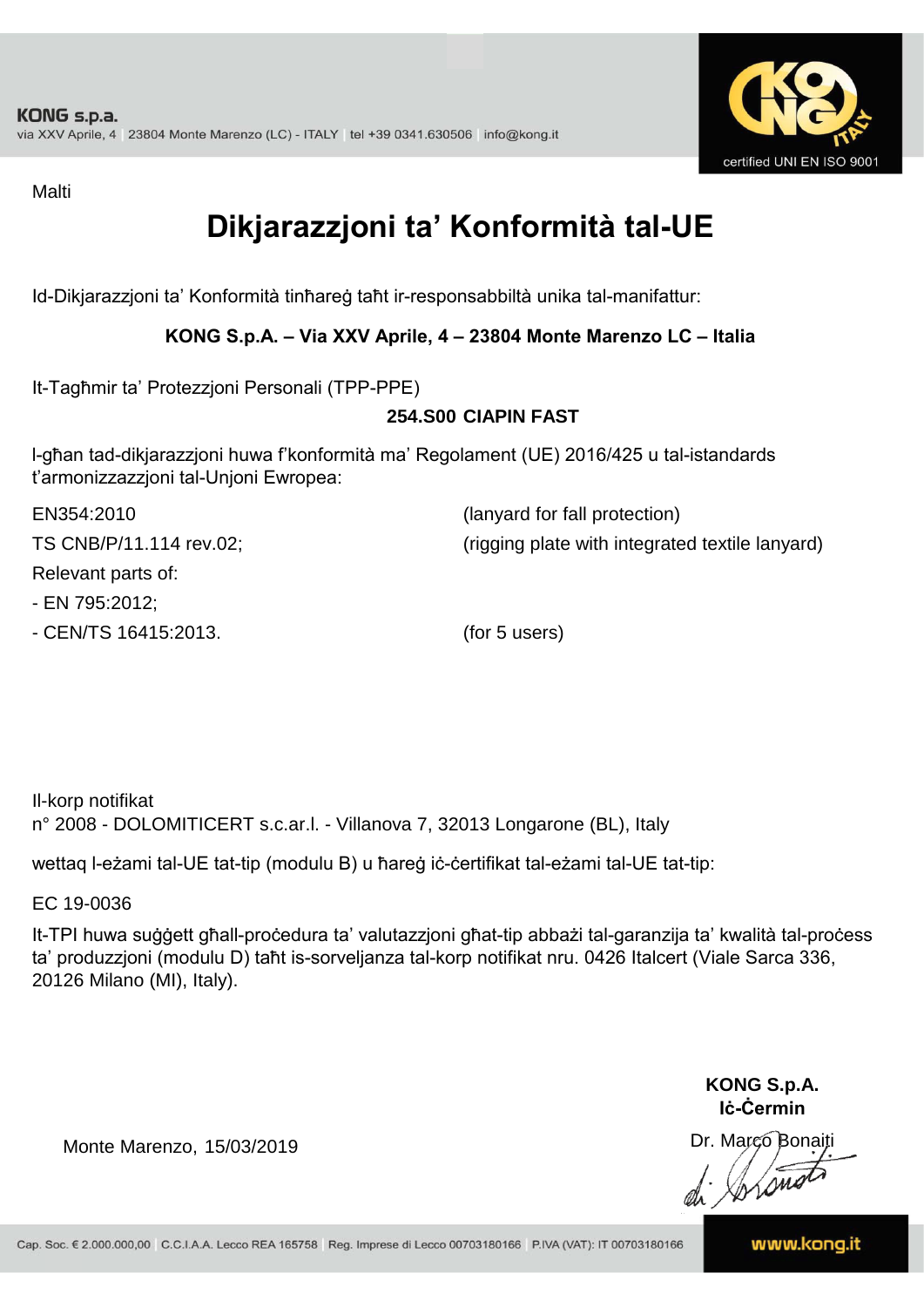

Malti

### **Dikjarazzjoni ta' Konformità tal-UE**

Id-Dikjarazzjoni ta' Konformità tinħareġ taħt ir-responsabbiltà unika tal-manifattur:

#### **KONG S.p.A. – Via XXV Aprile, 4 – 23804 Monte Marenzo LC – Italia**

It-Tagħmir ta' Protezzjoni Personali (TPP-PPE)

#### **254.S00 CIAPIN FAST**

l-għan tad-dikjarazzjoni huwa f'konformità ma' Regolament (UE) 2016/425 u tal-istandards t'armonizzazzjoni tal-Unjoni Ewropea:

| EN354:2010              | (lanyard for fall protection)                   |
|-------------------------|-------------------------------------------------|
| TS CNB/P/11.114 rev.02; | (rigging plate with integrated textile lanyard) |
| Relevant parts of:      |                                                 |
| - EN 795:2012;          |                                                 |
| - CEN/TS 16415:2013.    | (for 5 users)                                   |

Il-korp notifikat n° 2008 - DOLOMITICERT s.c.ar.l. - Villanova 7, 32013 Longarone (BL), Italy

wettaq l-eżami tal-UE tat-tip (modulu B) u ħareġ iċ-ċertifikat tal-eżami tal-UE tat-tip:

EC 19-0036

It-TPI huwa suġġett għall-proċedura ta' valutazzjoni għat-tip abbażi tal-garanzija ta' kwalità tal-proċess ta' produzzjoni (modulu D) taħt is-sorveljanza tal-korp notifikat nru. 0426 Italcert (Viale Sarca 336, 20126 Milano (MI), Italy).

> **KONG S.p.A. Iċ-Ċermin**

Dr. Março Bonaiti di Stonom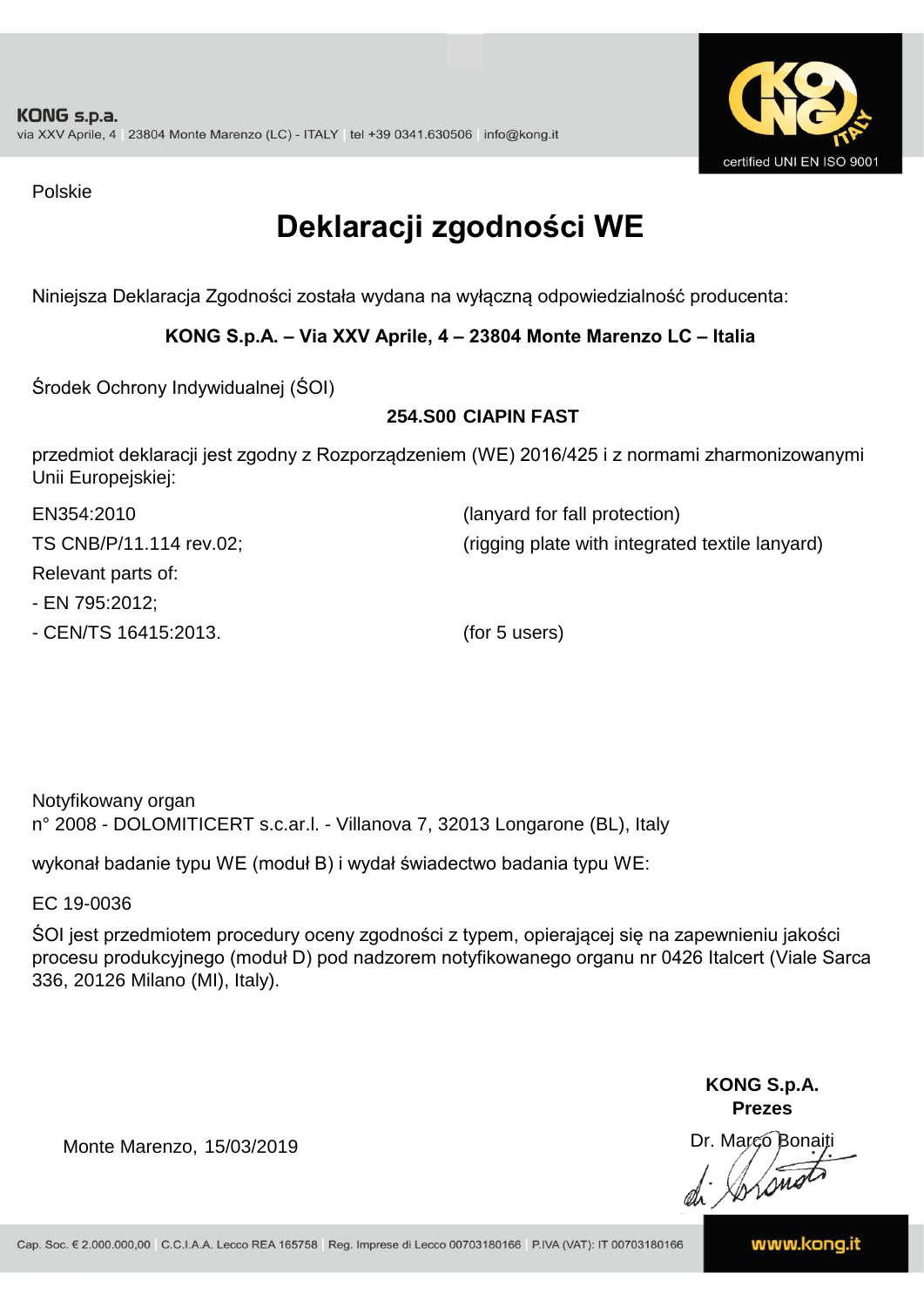

Polskie

### **Deklaracji zgodności WE**

Niniejsza Deklaracja Zgodności została wydana na wyłączną odpowiedzialność producenta:

#### **KONG S.p.A. – Via XXV Aprile, 4 – 23804 Monte Marenzo LC – Italia**

Środek Ochrony Indywidualnej (ŚOI)

#### **254.S00 CIAPIN FAST**

przedmiot deklaracji jest zgodny z Rozporządzeniem (WE) 2016/425 i z normami zharmonizowanymi Unii Europejskiej:

| EN354:2010              | (lanyard for fall protection)                   |
|-------------------------|-------------------------------------------------|
| TS CNB/P/11.114 rev.02; | (rigging plate with integrated textile lanyard) |
| Relevant parts of:      |                                                 |
| - EN 795:2012;          |                                                 |
| - CEN/TS 16415:2013.    | (for 5 users)                                   |

Notyfikowany organ n° 2008 - DOLOMITICERT s.c.ar.l. - Villanova 7, 32013 Longarone (BL), Italy

wykonał badanie typu WE (moduł B) i wydał świadectwo badania typu WE:

EC 19-0036

ŚOI jest przedmiotem procedury oceny zgodności z typem, opierającej się na zapewnieniu jakości procesu produkcyjnego (moduł D) pod nadzorem notyfikowanego organu nr 0426 Italcert (Viale Sarca 336, 20126 Milano (MI), Italy).

> **KONG S.p.A. Prezes**

Dr. Marco Bonaiti di Aromo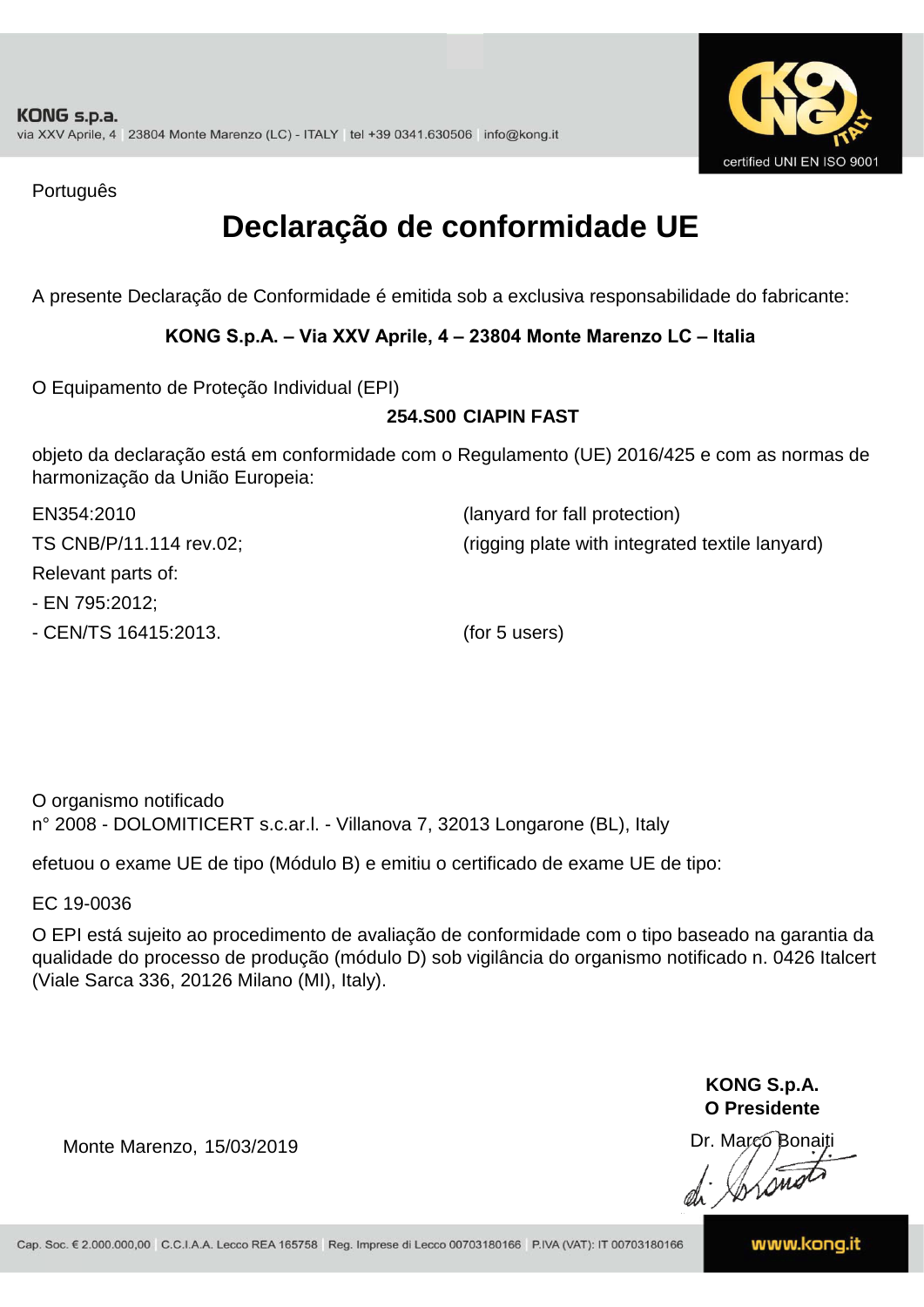

Português

### **Declaração de conformidade UE**

A presente Declaração de Conformidade é emitida sob a exclusiva responsabilidade do fabricante:

#### **KONG S.p.A. – Via XXV Aprile, 4 – 23804 Monte Marenzo LC – Italia**

O Equipamento de Proteção Individual (EPI)

#### **254.S00 CIAPIN FAST**

objeto da declaração está em conformidade com o Regulamento (UE) 2016/425 e com as normas de harmonização da União Europeia:

| EN354:2010              | (lanyard for fall protection)                   |
|-------------------------|-------------------------------------------------|
| TS CNB/P/11.114 rev.02; | (rigging plate with integrated textile lanyard) |
| Relevant parts of:      |                                                 |
| - EN 795:2012;          |                                                 |
| - CEN/TS 16415:2013.    | (for 5 users)                                   |

O organismo notificado n° 2008 - DOLOMITICERT s.c.ar.l. - Villanova 7, 32013 Longarone (BL), Italy

efetuou o exame UE de tipo (Módulo B) e emitiu o certificado de exame UE de tipo:

EC 19-0036

O EPI está sujeito ao procedimento de avaliação de conformidade com o tipo baseado na garantia da qualidade do processo de produção (módulo D) sob vigilância do organismo notificado n. 0426 Italcert (Viale Sarca 336, 20126 Milano (MI), Italy).

> **KONG S.p.A. O Presidente**

Dr. Marco Bonaiti di Arono

Monte Marenzo, 15/03/2019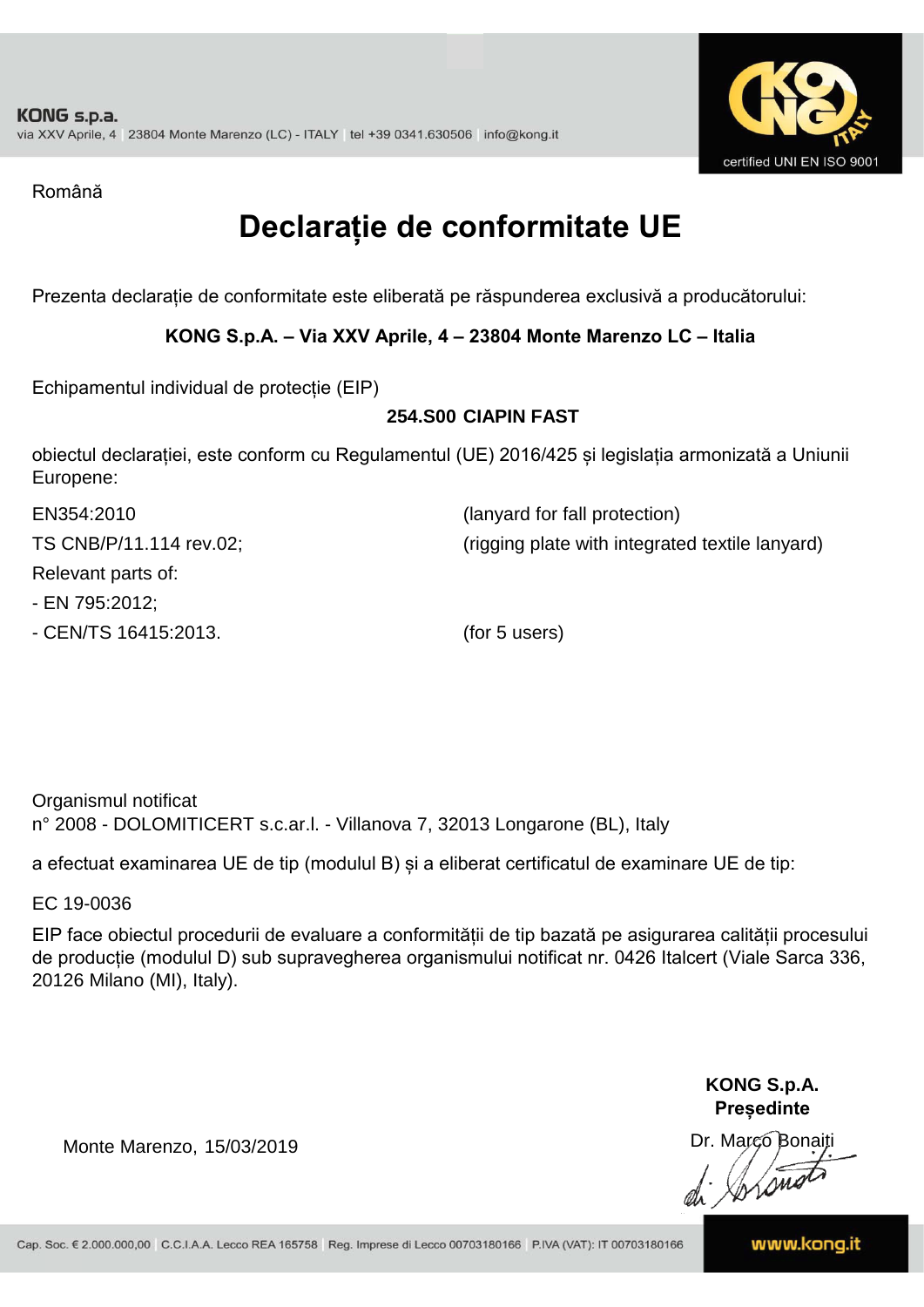

Română

### **Declarație de conformitate UE**

Prezenta declarație de conformitate este eliberată pe răspunderea exclusivă a producătorului:

#### **KONG S.p.A. – Via XXV Aprile, 4 – 23804 Monte Marenzo LC – Italia**

Echipamentul individual de protecție (EIP)

#### **254.S00 CIAPIN FAST**

obiectul declarației, este conform cu Regulamentul (UE) 2016/425 și legislația armonizată a Uniunii Europene:

| EN354:2010              | (lanyard for fall protection)                   |
|-------------------------|-------------------------------------------------|
| TS CNB/P/11.114 rev.02; | (rigging plate with integrated textile lanyard) |
| Relevant parts of:      |                                                 |
| - EN 795:2012;          |                                                 |
| - CEN/TS 16415:2013.    | (for 5 users)                                   |

Organismul notificat n° 2008 - DOLOMITICERT s.c.ar.l. - Villanova 7, 32013 Longarone (BL), Italy

a efectuat examinarea UE de tip (modulul B) și a eliberat certificatul de examinare UE de tip:

EC 19-0036

EIP face obiectul procedurii de evaluare a conformității de tip bazată pe asigurarea calității procesului de producție (modulul D) sub supravegherea organismului notificat nr. 0426 Italcert (Viale Sarca 336, 20126 Milano (MI), Italy).

> **KONG S.p.A. Președinte**

Dr. Marco Bonaiti di Arono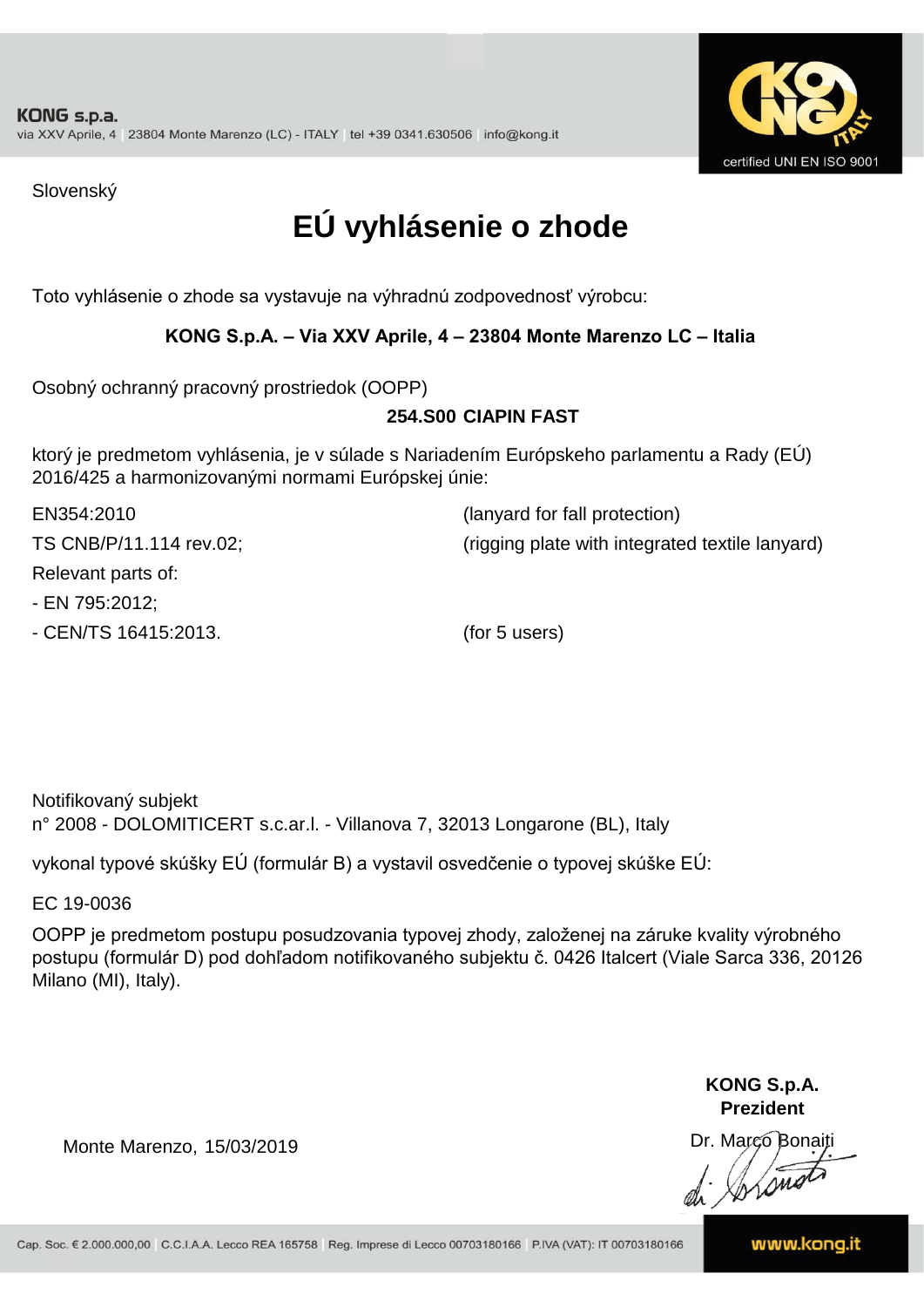

Slovenský

## **EÚ vyhlásenie o zhode**

Toto vyhlásenie o zhode sa vystavuje na výhradnú zodpovednosť výrobcu:

#### **KONG S.p.A. – Via XXV Aprile, 4 – 23804 Monte Marenzo LC – Italia**

Osobný ochranný pracovný prostriedok (OOPP)

#### **CIAPIN FAST 254.S00**

ktorý je predmetom vyhlásenia, je v súlade s Nariadením Európskeho parlamentu a Rady (EÚ) 2016/425 a harmonizovanými normami Európskej únie:

- EN 795:2012; EN354:2010 (lanyard for fall protection) TS CNB/P/11.114 rev.02; (rigging plate with integrated textile lanyard) Relevant parts of:

- CEN/TS 16415:2013. (for 5 users)

Notifikovaný subjekt n° 2008 - DOLOMITICERT s.c.ar.l. - Villanova 7, 32013 Longarone (BL), Italy

vykonal typové skúšky EÚ (formulár B) a vystavil osvedčenie o typovej skúške EÚ:

EC 19-0036

OOPP je predmetom postupu posudzovania typovej zhody, založenej na záruke kvality výrobného postupu (formulár D) pod dohľadom notifikovaného subjektu č. 0426 Italcert (Viale Sarca 336, 20126 Milano (MI), Italy).

> **KONG S.p.A. Prezident**

Dr. Marco Bonaiti di Aromor

Monte Marenzo, 15/03/2019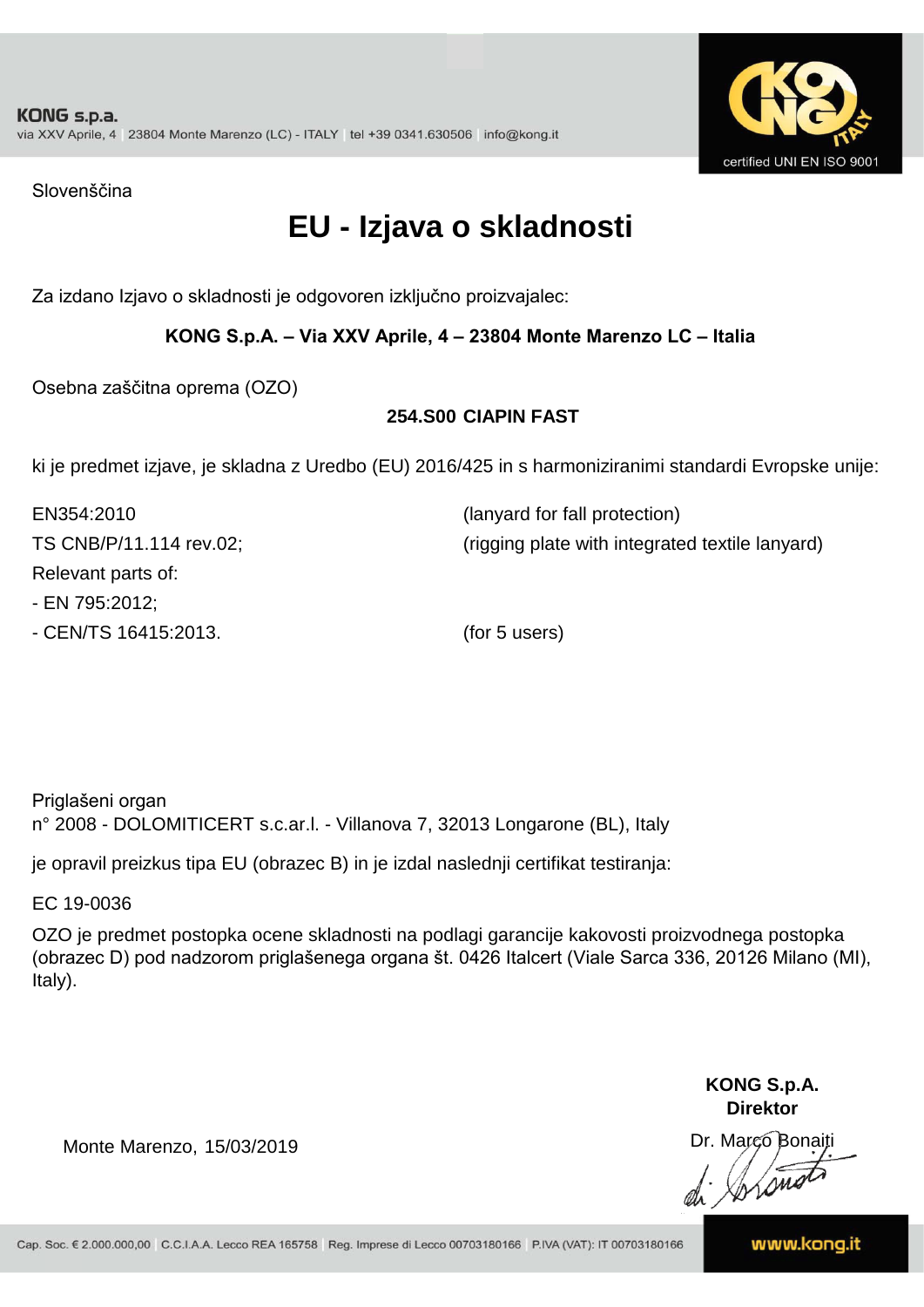

Slovenščina

### **EU - Izjava o skladnosti**

Za izdano Izjavo o skladnosti je odgovoren izključno proizvajalec:

#### **KONG S.p.A. – Via XXV Aprile, 4 – 23804 Monte Marenzo LC – Italia**

Osebna zaščitna oprema (OZO)

#### **254.S00 CIAPIN FAST**

ki je predmet izjave, je skladna z Uredbo (EU) 2016/425 in s harmoniziranimi standardi Evropske unije:

| EN354:2010              | (lanyard for fall protection)                   |
|-------------------------|-------------------------------------------------|
| TS CNB/P/11.114 rev.02; | (rigging plate with integrated textile lanyard) |
| Relevant parts of:      |                                                 |
| - EN 795:2012;          |                                                 |
| - CEN/TS 16415:2013.    | (for 5 users)                                   |

Priglašeni organ n° 2008 - DOLOMITICERT s.c.ar.l. - Villanova 7, 32013 Longarone (BL), Italy

je opravil preizkus tipa EU (obrazec B) in je izdal naslednji certifikat testiranja:

EC 19-0036

OZO je predmet postopka ocene skladnosti na podlagi garancije kakovosti proizvodnega postopka (obrazec D) pod nadzorom priglašenega organa št. 0426 Italcert (Viale Sarca 336, 20126 Milano (MI), Italy).

> **KONG S.p.A. Direktor**

Dr. Marco Bonaiti di Arono